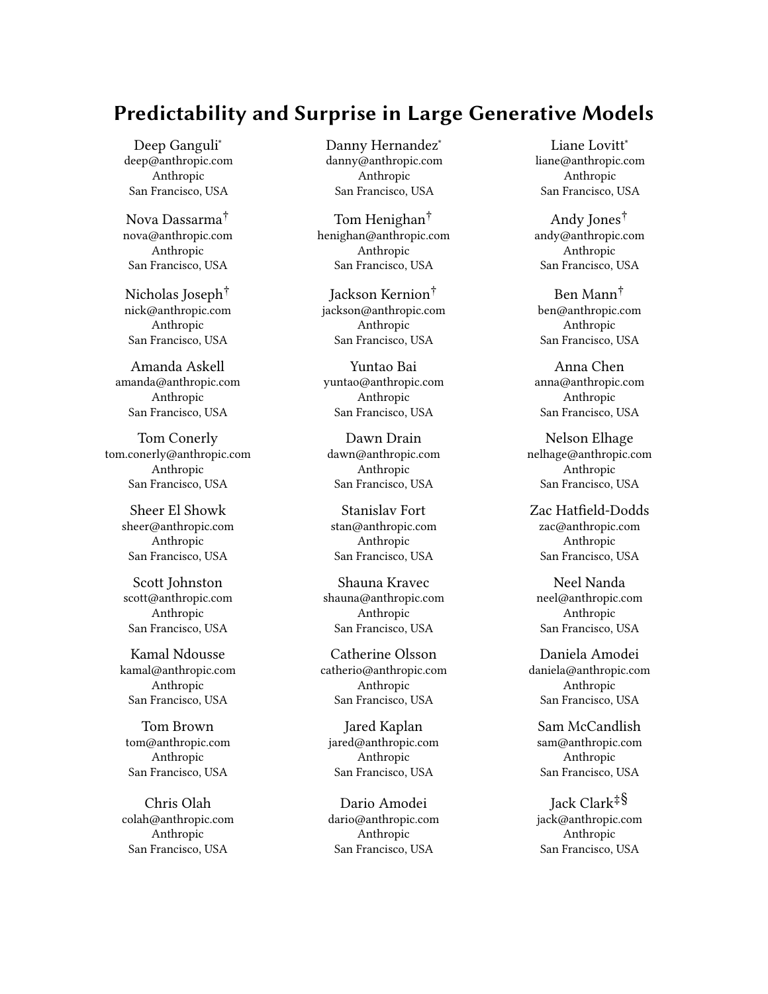# Predictability and Surprise in Large Generative Models

Deep Ganguli<sup>∗</sup> deep@anthropic.com Anthropic San Francisco, USA

Nova Dassarma† nova@anthropic.com Anthropic San Francisco, USA

Nicholas Joseph† nick@anthropic.com Anthropic San Francisco, USA

Amanda Askell amanda@anthropic.com Anthropic San Francisco, USA

Tom Conerly tom.conerly@anthropic.com Anthropic San Francisco, USA

> Sheer El Showk sheer@anthropic.com Anthropic San Francisco, USA

Scott Johnston scott@anthropic.com Anthropic San Francisco, USA

Kamal Ndousse kamal@anthropic.com Anthropic San Francisco, USA

Tom Brown tom@anthropic.com Anthropic San Francisco, USA

Chris Olah colah@anthropic.com Anthropic San Francisco, USA

Danny Hernandez<sup>∗</sup> danny@anthropic.com Anthropic San Francisco, USA

Tom Henighan† henighan@anthropic.com Anthropic San Francisco, USA

Jackson Kernion† jackson@anthropic.com Anthropic San Francisco, USA

Yuntao Bai yuntao@anthropic.com Anthropic San Francisco, USA

Dawn Drain dawn@anthropic.com Anthropic San Francisco, USA

Stanislav Fort stan@anthropic.com Anthropic San Francisco, USA

Shauna Kravec shauna@anthropic.com Anthropic San Francisco, USA

Catherine Olsson catherio@anthropic.com Anthropic San Francisco, USA

Jared Kaplan jared@anthropic.com Anthropic San Francisco, USA

Dario Amodei dario@anthropic.com Anthropic San Francisco, USA

Liane Lovitt<sup>∗</sup> liane@anthropic.com Anthropic San Francisco, USA

Andy Jones† andy@anthropic.com Anthropic San Francisco, USA

Ben Mann† ben@anthropic.com Anthropic San Francisco, USA

Anna Chen anna@anthropic.com Anthropic San Francisco, USA

Nelson Elhage nelhage@anthropic.com Anthropic San Francisco, USA

Zac Hatfield-Dodds zac@anthropic.com Anthropic San Francisco, USA

Neel Nanda neel@anthropic.com Anthropic San Francisco, USA

Daniela Amodei daniela@anthropic.com Anthropic San Francisco, USA

Sam McCandlish sam@anthropic.com Anthropic San Francisco, USA

Jack Clark‡§ jack@anthropic.com Anthropic San Francisco, USA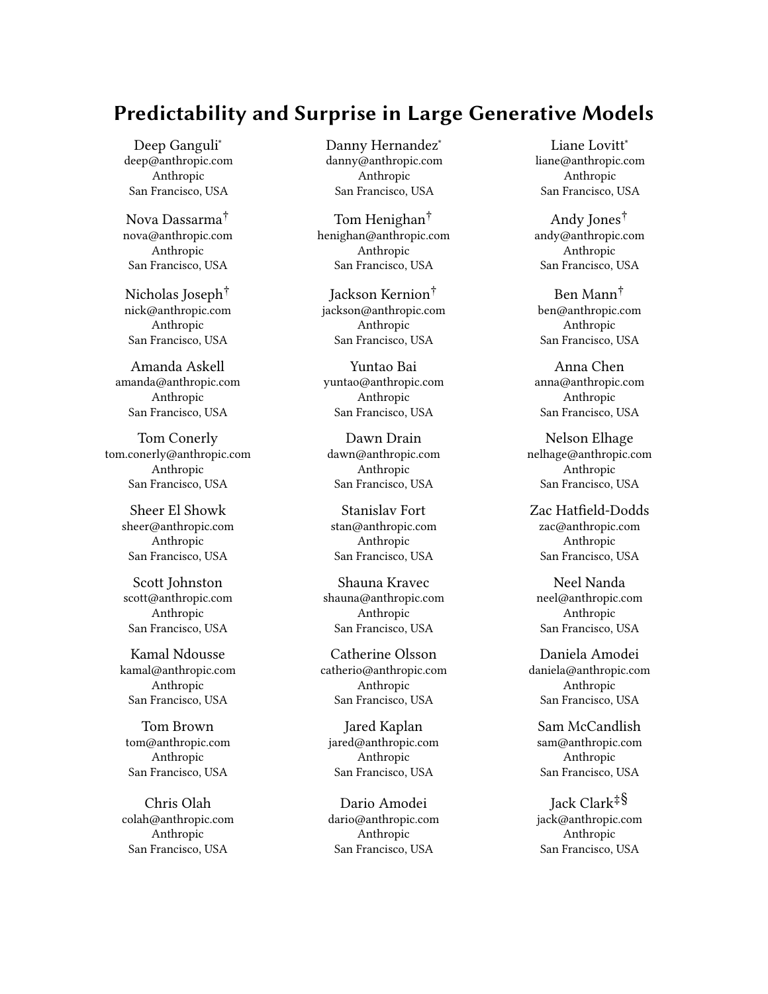# ABSTRACT

Large-scale pre-training has recently emerged as a technique for creating capable, general-purpose, generative models such as GPT-3, Megatron-Turing NLG, Gopher, and many others. In this paper, we highlight a counterintuitive property of such models and discuss the policy implications of this property. Namely, these generative models have a paradoxical combination of predictable loss on a broad training distribution (as embodied in their "scaling laws"), and unpredictable specific capabilities, inputs, and outputs. We believe that the high-level predictability and appearance of useful capabilities drives rapid development of such models, while the unpredictable qualities make it difficult to anticipate the consequences of model deployment. We go through examples of how this combination can lead to socially harmful behavior with examples from the literature and real world observations, and we also perform two novel experiments to illustrate our point about harms from unpredictability. Furthermore, we analyze how these conflicting properties combine to give model developers various motivations for deploying these models, and challenges that can hinder deployment. We conclude with a list of possible interventions the AI community may take to increase the chance of these models having a beneficial impact. We intend for this paper to be useful to policymakers who want to understand and regulate AI systems, technologists who care about the potential policy impact of their work, funders who want to support work addressing these challenges, and academics who want to analyze, critique, and potentially develop large generative models.

#### ACM Reference Format:

Deep Ganguli, Danny Hernandez, Liane Lovitt, Nova Dassarma, Tom Henighan, Andy Jones, Nicholas Joseph, Jackson Kernion, Ben Mann, Amanda Askell, Yuntao Bai, Anna Chen, Tom Conerly, Dawn Drain, Nelson Elhage, Sheer El Showk, Stanislav Fort, Zac Hatfield-Dodds, Scott Johnston, Shauna Kravec, Neel Nanda, Kamal Ndousse, Catherine Olsson, Daniela Amodei, Tom Brown, Jared Kaplan, Sam McCandlish, Chris Olah, Dario Amodei, and Jack Clark. 2022. Predictability and Surprise in Large Generative Models. In 2022 ACM Conference on Fairness, Accountability, and Transparency (FAccT '22), June 21–24, 2022, Seoul, Republic of Korea. ACM, New York, NY, USA, 18 pages.<https://doi.org/10.1145/3531146.3533229>

# 1 INTRODUCTION

Scaling up the amount of data, compute power, and model parameters of neural networks has recently led to the arrival (and real world deployment) of capable generative models such as CLIP [62], Ernie <sup>3</sup>.<sup>0</sup> Titan [82], FLAN [83], Gopher [63], GPT-3 [12], HyperClova [47], Jurassic-1-Jumbo [52], Megatron Turing NLG [73], LaMDA

FAccT '22, June 21–24, 2022, Seoul, Republic of Korea

© 2022 Copyright held by the owner/author(s).

ACM ISBN 978-1-4503-9352-2/22/06.

<https://doi.org/10.1145/3531146.3533229>

[79], Pan Gu [90], Yuan 1.0 [88], and more. For this class of models<sup>1</sup> the relationship between scale and model performance is often so predictable that it can be described in a lawful relationship  $-$  a scaling law. In most cases, these scaling laws predict a continued increase in certain capabilities as models get larger. At the same time, larger generative models represent an increasing proportion of the eye-catching results in machine learning. As a result, many institutions have started producing large models over the past few years, in response to the predictability afforded by scaling laws, and the fact these models can be plugged into systems that generate economic value, like search engines.<sup>2</sup> It has also become clear that these models present novel risks of harmful behavior, which are difficult to predict and may become more severe as the models increase in capability. Attempts to study these harms with smaller models may not accurately reflect what occurs in larger ones.

In this paper, we attempt to better understand the influence of scaling laws on the dynamics of large-scale model development and deployment, with a focus on large language models. Our basic thesis is that large generative models have a paradoxical combination of high predictability — model loss improves in relation to resources expended on training, and tends to correlate loosely with improved performance on many tasks and high unpredictability  $-$  specific model capabilities, inputs, and outputs can't be predicted ahead of time. The former drives rapid development of such models while the latter makes it difficult to anticipate the consequences of their development and deployment. We go through examples of how this combination can lead to socially harmful behavior, while also analyzing the motivations and challenges that developers of such models will face. Our goal in this paper is to outline how and why we expect these models to be developed, so we can identify interventions to guide model development. We conclude with some policy recommendations that could increase the safety of largescale model deployments, and improve the incentive structure for developers building these models. Though all of the individual points about scaling laws, open-endedness, or the proliferation of large models are explicitly or implicitly presented in other research, our contribution here is to highlight the complete picture together with its implications.

Although we focus on scaling laws, many of our points complement related work on the societal risks of deploying large models [8, 10, 22, 45, 76, 84]. However, similarly to [84], we do not consider here the costs of human labor involved in creating and annotating training data [31], the ethics of supply chains involved in creating the requisite hardware on which to train models [20], or the environmental costs of training models [8, 57, 70, 75]. Scaling laws are likely to significantly impact these issues.

The remainder of the paper is organized as follows. In Section 2, we articulate and support our central thesis about large generative models by decomposing it into four claims, each of which we support with evidence from previously published data, and in some cases, with novel experiments on large language models [4]. In Section 2.1 we discuss smooth general capability scaling. More precisely, by general capability scaling we mean two things. First,

<sup>∗</sup>Core Research Contributors

<sup>†</sup>Core Infrastructure Contributors

<sup>‡</sup>Correspondence to: jack@anthropic.com

<sup>§</sup>Author contributions are listed in Appendix A.1

Permission to make digital or hard copies of part or all of this work for personal or classroom use is granted without fee provided that copies are not made or distributed for profit or commercial advantage and that copies bear this notice and the full citation on the first page. Copyrights for third-party components of this work must be honored. For all other uses, contact the owner/author(s).

<sup>&</sup>lt;sup>1</sup>Some refer to this class of models as 'foundation models' [10].

<sup>&</sup>lt;sup>2</sup>We do not discuss to whom this economic value accrues, and we do not intend to imply that by default it will accrue broadly or that no one will be harmed.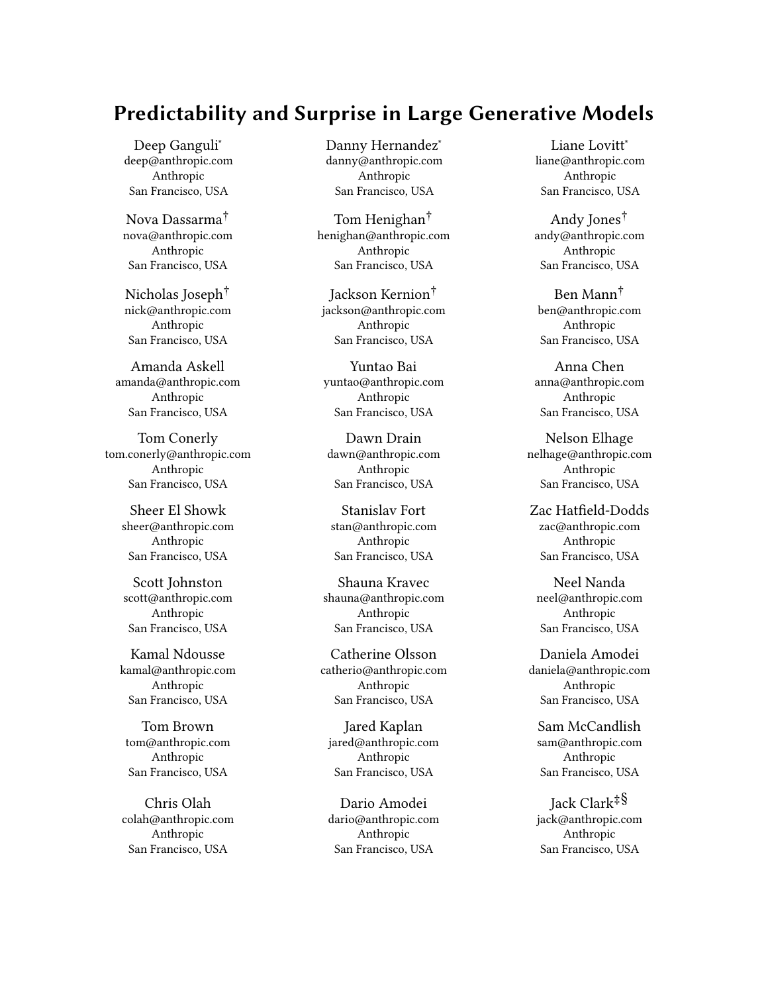the training (and test) loss improves predictably with scale on a broad data distribution. Second, this improvement in loss tends to correlate on average with increased performance on a number of downstream tasks [12, 63]. We refer to the combination of these two properties throughout the paper as smooth general capability scaling. $3$  In Section 2.2, we discuss abrupt specific capability scaling, in which models can also suddenly gain specific capabilities at scale. We illustrate this phenomenon with three examples from the literature [5, 12, 63]. In Section 2.3, we argue that entire areas of model competency may be unknown until they are solicited from specific inputs, problem domains, or applications. In Section 2.4, we discuss challenges that arise from the open-endedness of model outputs and show both qualitative and quantitative examples of harmful and toxic outputs emerging with scale.

In Section 3, we outline why, despite these conflicting properties of predictability and unpredictability, we expect increasing development and deployment of large generative models despite the challenges we outline in Section 2. We posit that this is due to a confluence of economic, scientific, and prestige motivations, each of which we summarize. We also consider a few possible barriers to entry that model developers may face during development and deployment, including high financial costs, access to engineering talent, safety concerns, and a lack of standards on how to responsibly deploy capable generative models. We also provide some empirical observations (grounded in the motivations and challenges described above) about how the development of large language models has unfolded thus far, including a quantitative analysis of the increasing gap between academia and industry for large model development.

Finally, in Section 4 we outline policy interventions that may help concretely address the challenges we outline in Sections 2 and 3 in order to help guide the development and deployment of larger models for the broader social good. We leave some illustrative experiments, technical details, and caveats about our claims in Appendix A.

# 2 DISTINGUISHING FEATURES OF LARGE GENERATIVE MODELS

We claim that large generative models (e.g., GPT-3 [12], LaMDA [79], Gopher [63], etc.) are distinguished by four features:

Smooth, general capability scaling: It is possible to predictably improve the general performance of generative models — their loss on capturing a specific, though very broad, data distribution  $-$  by scaling up the size of the models, the compute used to train them, and the amount of data they're trained on in the correct proportions. These proportions can be accurately predicted by scaling laws (Figure 1). We believe that these scaling laws de-risk investments in building larger and generally more capable models despite the high resource costs and the difficulty of predicting precisely how well a model will perform on a specific task. Note, the harmful

properties of models, such as toxicity, can scale alongside directly helpful capabilities.

Abrupt, specific capability scaling: Though performance is predictable at a general level, performance on a specific task can sometimes emerge quite unpredictably and abruptly at scale.<sup>4</sup> While counter-intuitive, this is possible because any specific task is a tiny slice of a model's output probability distribution, and so can change rapidly even as the full distribution remains smooth.

Open-ended inputs and domains: Large generative models are open-ended and can take in a varying range of inputs concerning arbitrary domains. As a result, certain capabilities (or even entire areas of competency) may be unknown until an input happens to be provided that solicits such knowledge. Even after a model is trained, creators and users may not be aware of most of its (possibly harmful) capabilities. These properties become more pronounced as the models scale — larger models tend to be harder to characterize than smaller ones.

Open-ended outputs: Finally, model outputs are also openended in the sense that they are difficult to predict or control, even given a fixed scale, input, topic, or task. These outputs may be helpful or harmful, but it is difficult to know in advance. Of course, models with both open-ended inputs and outputs have existed for decades, but what is new is the level of capability and breadth of open-endedness.

In the following sections, we further describe each of these distinguishing features, and discuss how combinations of them may lead to disruptive societal impacts. We support our claims with data and experiments.

# 2.1 Smooth General Capability Scaling

Generally, machine learning experiments are not precisely predictable — complex models trained on complex data typically yield noisy or variable results [19, 91].<sup>5</sup> Though individual experiments may be unpredictable, the general performance of large generative models tends to exhibit smooth and predictable growth as a function of scale — larger systems tend to do increasingly better on a broad range of tasks. This was first noticed by [40] who observed that capabilities such as machine translation and speech recognition increased in a smooth predictable manner as the size of the model increased. Subsequent work formalized and experimentally validated a quantitative relationship between scale (in terms of both model size and training data size) and model generalization error [67]. Furthermore, [44] demonstrated that test loss performance on language modeling tasks scales as a predictable function of model size, dataset size, and duration of training. These three factors are like ingredients in a chemical reaction, such that if all are scaled up in tandem, the test loss improves proportionally. However, if there is too little of one ingredient, gains are limited by this ingredient. The

<sup>&</sup>lt;sup>3</sup>Note that, as will be discussed later as the central thesis of the paper, smooth general capability scaling does not imply smooth scaling on any particular task. It also does not imply that the tasks typically measured are the only tasks that are important; indeed the presence of unmeasured tasks is part of our thesis.

<sup>&</sup>lt;sup>4</sup>Similar behavior has also been observed during the training process of an individual model (rather than as a function of model size) for algorithmic tasks, and has been termed "grokking" [59].

<sup>&</sup>lt;sup>5</sup>For example, [19] documents a strong lack of run-to-run reproducibility in reinforcement learning on Atari games when only changing the initial random seed. This suggests that differences between algorithms may be difficult to measure rigorously due to such intrinsic noise.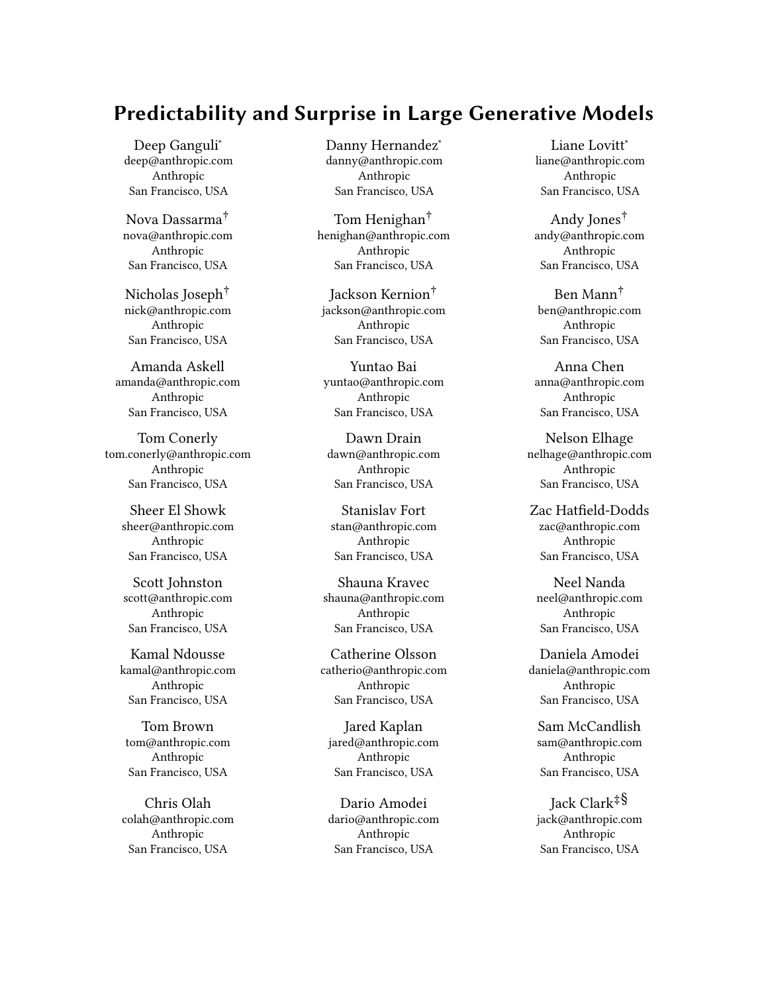

Figure 1 Scaling laws reliably predict that model performance (y-axes) improves with increasing compute (Left), training data (Middle), and model size (Right). In all cases a power-law (straight line, black) fits the empirically observed data (blue). Figure adapted from [44].

trends are remarkably consistent, with only tiny deviations from a simple fit to the data<sup>6</sup>, covering dozens of data points and several orders of magnitude (Figure 1).<sup>7</sup> Subsequent work has shown that similar scaling laws exist in generative models for other modalities (e.g., images, video, math, etc.) [38], audition [24], transfer from text to programming [39], few-shot adaptation of vision models [61], and more.

Predictable scaling, and especially the underlying dependency on precise mixtures of data, model size, and training, has implications for the process of model development. It shifts development of this type of model from a process of artisanal trial-and-error to more of a predictable engineering process, where the resources needed to achieve a particular result can be precisely calculated, and the cost of those resources can be compared to the utility of the result. Although very specific behaviors may not be predictable (more on this in Section 2.2), the general test loss tends to correlate well on average with many tasks, meaning that larger models typically make significant gains across the board. In this sense, scaling laws de-risk investments in large models. We say more on this in Section 3.1 and provide more technical details on how developers may use scaling laws in Appendix A.2. To further illustrate how smooth general scaling correlates with task performance, and how a scale-based analysis can be used to forecast the potential economic value of a given model, we outline a small original experiment in Appendix A.3 that analyzes the relationship between scale and GPT-3 like language models [4] to be used as recommendation systems with zero-shot learning. We chose this example because recommendation systems have tangible economic relevance, known societal impact, are well studied in machine learning with domain specific algorithms [34], but are not typically studied with large scale generative models (yet). Surprisingly, we find that that generative models can increasingly operate as simple recommendation systems as they scale with minimal effort and extremely limited access to explicit training data. We leave a detailed analysis and discussion in Appendix A.3.

#### 2.2 Abrupt Specific Capability Scaling

Though performance on a wide distribution of tasks may scale smoothly with model size, qualitatively different, specific capabilities can appear abruptly and discontinuously. It is not clear when or why this happens. But intuitively, abrupt scaling of a specific capability can co-exist with smooth general scaling for the same reason that daily weather is less predictable than seasonal averages: individual data points can vary much more than broad averages.

Here, we illustrate three examples of abrupt capability scaling for arithmetic [12], language understanding, [35, 63], and programming [5] (Figure 2). For arithmetic, GPT-3 displays a sharp capability transition somewhere between 6B parameters and 175B parameters, depending on the operation and the number of digits [12]. For example, three digit addition is performed accurately less than 1% of the time on any model with less than 6B parameters, but this jumps to 8% accuracy on a 13B parameter model and 80% accuracy on a 175B parameter model – producing a "hockey stick"-style graph (Figure 2, Left) in which arithmetic ability appears suddenly after several orders of magnitude of nothing.

A different language model, DeepMind's Gopher [63], also displays an abrupt jump in performance on a different dataset, the MMLU language understanding benchmark [35] (Figure 2, Middle, orange). For all models under 6B parameters, Gopher performs under 30% accuracy, which is a little better than chance (25% accuracy). However, the full 280B parameter Gopher model achieves 60% accuracy, a significant jump. GPT-3 displays a similar phenomenon though of smaller magnitude (Figure 2, Middle, blue).

As a third example, a recently developed class of program synthesis models from Google display dramatic improvements in their ability to create computer programs as they increase in size from 10B to 100B parameters [5] (Figure 2, Right). For example, the percentage of generated synthetic programs that solve a given programming problem jumps substantially from 6% to 13% when the model size increases by 2x from 68B to 138B parameters, despite very small increases over the previous two orders of magnitude.

Abrupt specific capability scaling presents significant challenges for safety assurance and deployment of large models. Although we have demonstrated this phenomenon for relatively anodyne capabilities, potentially harmful ones may emerge at scale (that will not exist in smaller models) and may be difficult to anticipate. We explore this further in the next section.

 $^6\rm{More}$  precisely, the relationship is a straight line on a log-log plot, equivalent to a power law. 7 Scaling naturally has a fundamental limit: the entropy of the training and test data

sets. However, it is both difficult to precisely estimate this quantity a-priori and perhaps likely that there are important model capabilities that may emerge while pursuing this limit asymptotically.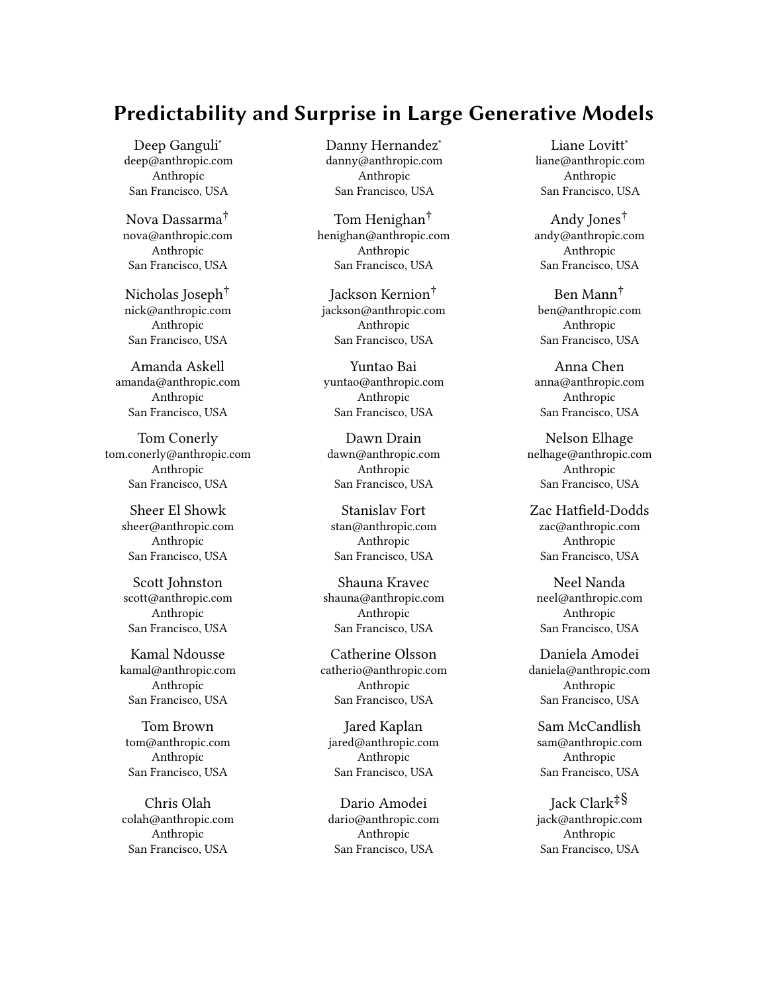

Figure 2 Three examples of abrupt specific capability scaling described in Section 2.2, based on three different models: GPT-3 (blue), Gopher (orange), and a Google language model (green). (Left) 3-Digit addition with GPT-3 [12]. (Middle) Language understanding with GPT-3 and Gopher [63]. (Right) Program synthesis with Google language models [5].

#### 2.3 Open-Ended Inputs and Domains

Large generative models are open-ended  $-$  they take in arbitrary inputs from a variety of domains and generate (often relevant and creative) outputs. As a result, some model behaviors may be unknown until they are solicited from specific inputs. Pre-trained generative models can also be fine-tuned on new data in order to solve new problems. Broadly enabling such fine-tuning substantially increases the breadth of model capabilities and associated difficulties in predicting or constraining model behaviors. This open-endedness is challenging because it means AI developers may deploy their systems without fully knowing potentially unexpected (and possibly harmful) behaviors in response to un-tested inputs.

For example, the AI Dungeon video game fine-tuned GPT-3 for fantasy role-playing [77], but with the right inputs, players were able to manipulate it to discuss any topic, essentially providing general backdoor access to GPT-3 [56]. Thus, a model use-case that appeared to be designed just for one purpose, actually carried the full range of GPT-3 capabilities, accessible through skillful use of its open-ended interface.

To further illustrate our point about the inherent challenges of open-ended inputs and domains, and tie it to the possibility of harm from language models, we consider a problem domain that language models are typically not (or not yet) deployed on, but which is associated with societal concerns: recidivism prediction. Some have pointed out that even beyond specific concerns about fairness, recidivism prediction simply should not be a task for machine learning [7]. We agree and we do not believe that language models should be used for recidivism prediction. However, because the application is so inherently questionable, it provides a compelling example of how harmful abilities can emerge quietly in unexpected ways as generative models scale. It is likely that such abrupt emergence also occurs in many other contexts where the harms are more subtle. We study a case where the problems are flagrant in order to clearly demonstrate our thesis.

To do this, we leverage the ProPublica COMPAS dataset, which includes data about more than <sup>7</sup>, <sup>000</sup> defendants arrested in Broward County Florida [3, 7]. The dataset includes a recidivism risk score, computed by the COMPAS algorithm (which is meant to reflect the risk of a defendant committing a misdemeanor or felony within 2 years of assessment based on a set of features about the defendant,

not including  $\text{race}^8$ ), along with the actual outcome of whether each defendant re-offended. ProPublica found that these risk scores are inaccurate and racially biased [3]. Further research found that human subjects with limited to no criminal justice experience exhibit similar inaccuracies and racial biases as COMPAS when predicting recidivism based on a simple prompt describing a defendant [23]. The human subject experiment examined two conditions, one in which a defendant's race was excluded from the prompt, and one in which it was included.<sup>9</sup> Here, we use the same prompts outlined in [23] but instead ask language models [4] instead of people to predict recidivism. We leave full technical details and (significant) caveats in Appendix A.4; however, we foreground here that benchmark risk assessment instrument datasets like COMPAS often contain numerous measurement biases and errors which can make them illsuited for making claims about real-world impact without carefully considering the the complicated socio-technical systems (in this case, the US criminal justice system) in which they are used [7].

We found that language models exhibit similar (or worse) inaccuracies and racial biases as COMPAS. Figure 3 shows language models of increasing size compared to COMPAS in terms of two metrics mentioned in the ProPublica analysis [3] and the subsequent human subject experiment [23]: overall predictive accuracy, and the ratio in false positive rates for Black versus white defendants. We show results for both prompts that exclude an individual's race (blue) and include it (orange). For overall predictive accuracy, language models become increasingly accurate at predicting whether defendants will re-offend (Figure 3, Left) as they increase in size, yet they are still unreliable predictors like COMPAS. We see no significant difference in predictive accuracy when race is excluded from the prompt or included. In both conditions, the largest model, with 52B parameters, achieves 63% accuracy compared to COMPAS's 66% accuracy.

We also see higher ratios in false positive rates for Black versus white defendants (Figure 3, Right), which partially recapitulates the racial biases of the COMPAS algorithm described in [3]. For COMPAS, this ratio is <sup>1</sup>.92, which indicates that Black defendants

 $^8\rm{More}$  precisely, the COMPAS algorithm makes its predictions from 137 features about a defendant and the defendant's past criminal record. COMPAS does not consider the defendant's race; however, other features it does consider may be correlated with race and thus lead to racially disparate predictions.

<sup>&</sup>lt;sup>9</sup>Interestingly, the researchers found that the exclusion of race had no significant impact on human recidivism prediction accuracy or fairness [23].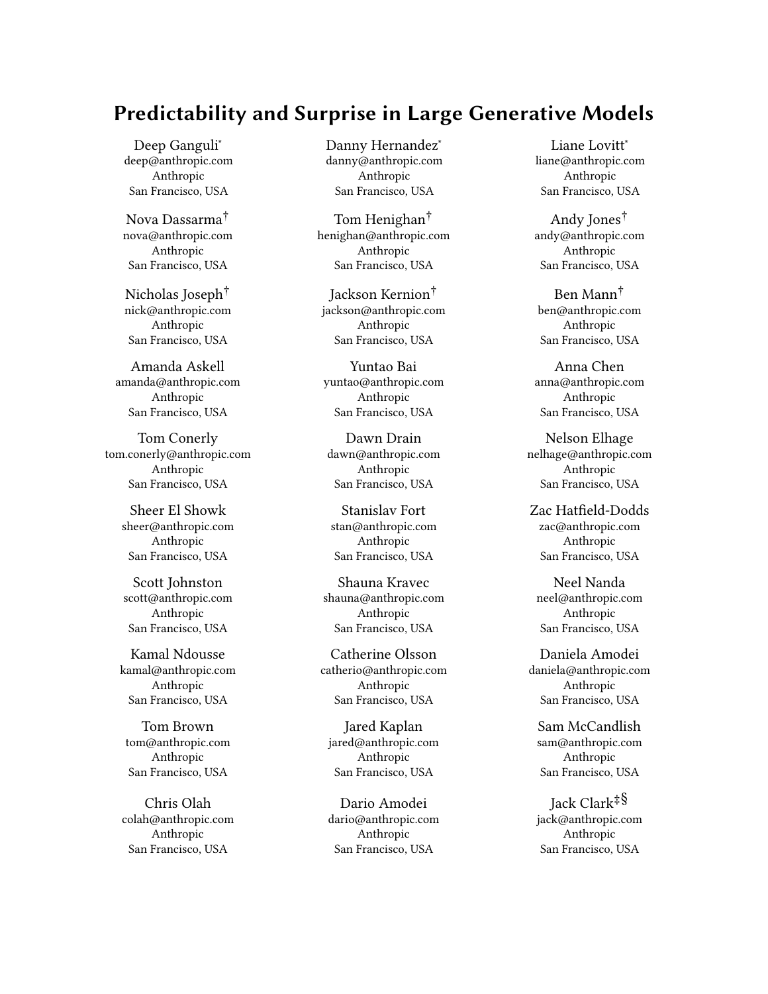

Figure 3 Large language models, with few-shot learning, exhibit similar (or worse) inaccuracies and racial biases as COMPAS for recidivism prediction when prompted with the same prompts from a human recidivism prediction experiment [23]. This illustrates our claim in Section 2.3 that it may be difficult to anticipate possible harms of large generative models due to the open-ended nature of their inputs and domains. (Left) Accuracy increases with model size, approaching COMPAS performance. We see no significant difference in predictive accuracy when race is excluded from the prompt (blue) or included in the prompt (orange). (Right) Language models become increasingly biased towards predicting Black, compared to white, people will re-offend (when in reality they do not) similarly to COMPAS. We find a higher false positive rate ratio when race is included in the prompt (orange) versus when it is excluded (blue). See Appendix A.4 for technical details and caveats.

are predicted to re-offend nearly twice as often as white defendants, when in reality they did not (a fair algorithm would have a false positive rate ratio of 1). As language models increase in size, at around 12B parameters, the false positive rate ratio increases smoothly and reaches a value of <sup>1</sup>.<sup>5</sup> for the largest model when race is excluded in the prompt and a value of <sup>2</sup>.<sup>21</sup> when race is included in the prompt. In the latter case, the largest language model is even less equitable than COMPAS.<sup>10</sup> Likely, the model is picking up on a combination of the racial bias in the small fraction of the COMPAS dataset it sees, and ambient racial bias in the pre-trained language models.

To emphasize again what was stated earlier, the point here is not only the emergence of racial biases in the recidivism prediction task, but also the emergence of the ability to perform this task at all. As the language model scales, it acquires both the ability to do a task that many have argued is inherently harmful [7], and it performs this task in a biased manner. It is likely that large language models have many other (currently undiscovered) "skills" that pose one or both of these problems, perhaps in less obvious forms.

In summary, pre-trained language models can be adapted with minimal effort for purposes not anticipated by their creators, whether that is by using the inherent capabilities of the model to evade a security constraint (as in the AI Dungeon example), or by discovering new capabilities through novel inputs (as in the discussion of abrupt capability jumps in Section 2.2, and the recidivism experiment above). We also note that many of the most surprising capabilities manifest at large-scale, so working with smaller models will make it harder to explore such capabilities.

### 2.4 Open-Ended Outputs

In the previous section we argued that language models have openended inputs, which creates the opportunity for unexpected and undetected capabilities to emerge. But even when the input or topic is fixed, the resulting output can be varied and unpredictable. This kind of unpredictability is arguably more familiar and widely

studied than the previous kind, but is worth briefly discussing as it adds an additional layer of complexity to large model behavior.

As an example, in Figure 4 we ask an AI assistant [4] to tell us something offensive, for the purpose of illustrating our claim. Despite prompting the model with a relatively clear input, the model has generated an output that is tangential to the question at hand: the response isn't directly offensive, but is instead a list of offenses made by other AI systems. One effect of this open-endedness is that unpredictable model responses can be a distraction away from a person's original query.

Open-endedness also introduces a second and more harmful risk of factual inaccuracy. Taking a closer look at the exchange in Figure 4, we can see that the model has made up these offenses - systems like IBM Watson and Microsoft's Tay [87] did have problems during their deployment, but the AI assistant gets the year and error wrong in the case of Watson, and the error wrong (but year right) in the case of Tay. When we ask the model if it is sure the examples are correct, the model gives misleading answers and questions the authority of the human asking it questions. This illustrates how even with a specific input (e.g. requesting the model say something offensive), AI models can give outputs that are not only distracting, but potentially misleading.

Open-ended model outputs can also introduce harmful or undesirable text. For example, Figure 5 shows that the toxicity (defined as rude, disrespectful, or unreasonable language  $[30]$ <sup>11</sup> of text generated from language models [4] increases smoothly and significantly with model size. A recent study has observed a very similar toxicity trend with model size using similar models with different analyses [63], which suggests that this may be a general phenomenon. We leave further details and caveats in Appendix A.6.

Many applications for language models, including chat bots, search engines, text summarization systems, question answer systems, machine translation systems, etc., rely on open-ended text generation. As such, we argue that it is important to quantify how societally relevant aspects of open-ended text generation — relevancy, accuracy, safety, and even creative expression (see Appendix

 $^{\rm 10}\mbox{Although}$  the false positive rate ratio of the largest language model where race is included in the prompt is <sup>2</sup>.<sup>21</sup> vs. <sup>1</sup>.<sup>92</sup> for COMPAS, in absolute terms the false positive rates for the language model (30% for Black, <sup>12</sup>.6% for white) are lower than the false positive rates for COMPAS (45% for Black, 24% for white)

<sup>11</sup>https://github.com/conversationai/perspectiveapi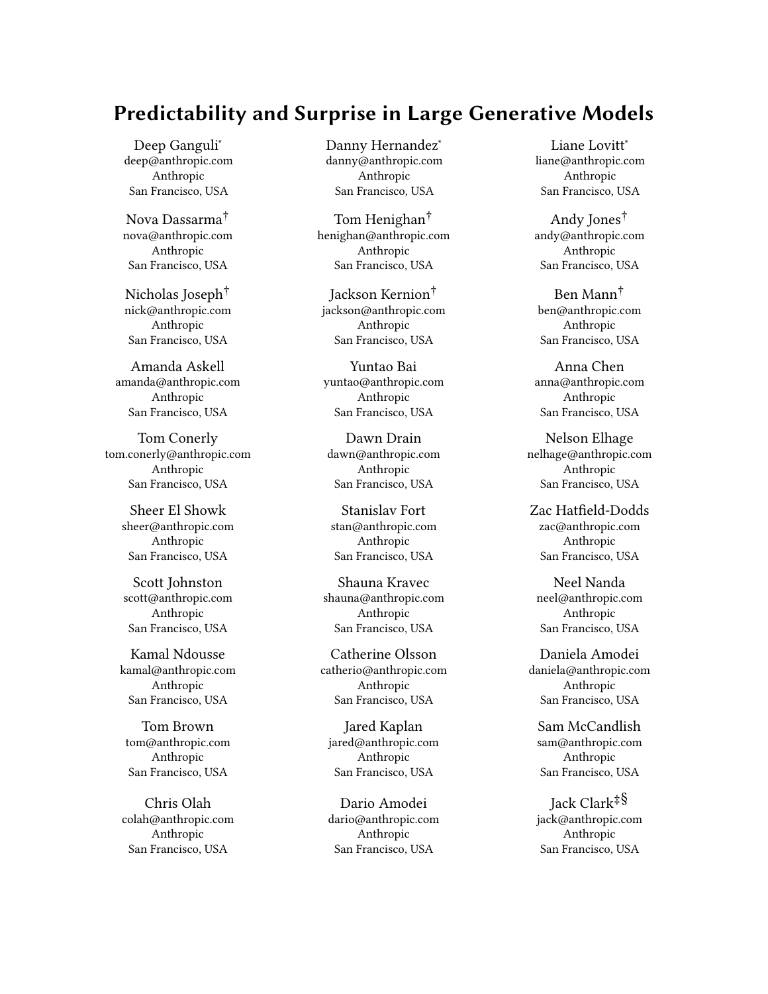#### Predictability and Surprise in Large Generative Models **FACCT** 22, June 21–24, 2022, Seoul, Republic of Korea



#### Figure 4 A conversation with an AI Assistant [4], powered by a 52B parameter language model, that illustrates challenges the challenges outlined in Section 2.4

A.5 for a discussion on AI generated poetry) — scale with model size. It will also be important to develop techniques that can improve the factual accuracy of the results of AI models, as described in e.g., [11], and to make the outputs of models more appropriate and less likely to display harmful biases [74].

# 3 MOTIVATIONS AND PROBLEMS IN THE DEVELOPMENT AND DEPLOYMENT OF LARGE MODELS

In the previous section we described our basic thesis that large generative models have a paradoxical combination of four distinguishing features: predictable general performance, and unpredictable specific capabilities, inputs, and outputs. Predictable general performance, combined with impressive specific capabilities, drives rapid

development of such models, while the unpredictability makes it difficult for model developers to anticipate the consequences of model deployment. There are numerous motivations (and barriers) for developing and deploying large generative models due to (or in spite of) these distinguishing features. Here, we focus on elements of this fundamental tension and ground our discussion with some empirical observations.

More specifically, in Section 3.1 we outline three salient motivations for developing and deploying large generative models: economic, scientific, and prestige. Conversely, in Section 3.2 we outline three barriers to entry: the financial costs and engineering talents required in order to scale models, AI safety issues, and the lack of standards and norms in model deployment. These motivations and barriers are non-exhaustive and perhaps obvious. Nevertheless, we think that they are worth explicitly stating in order for us to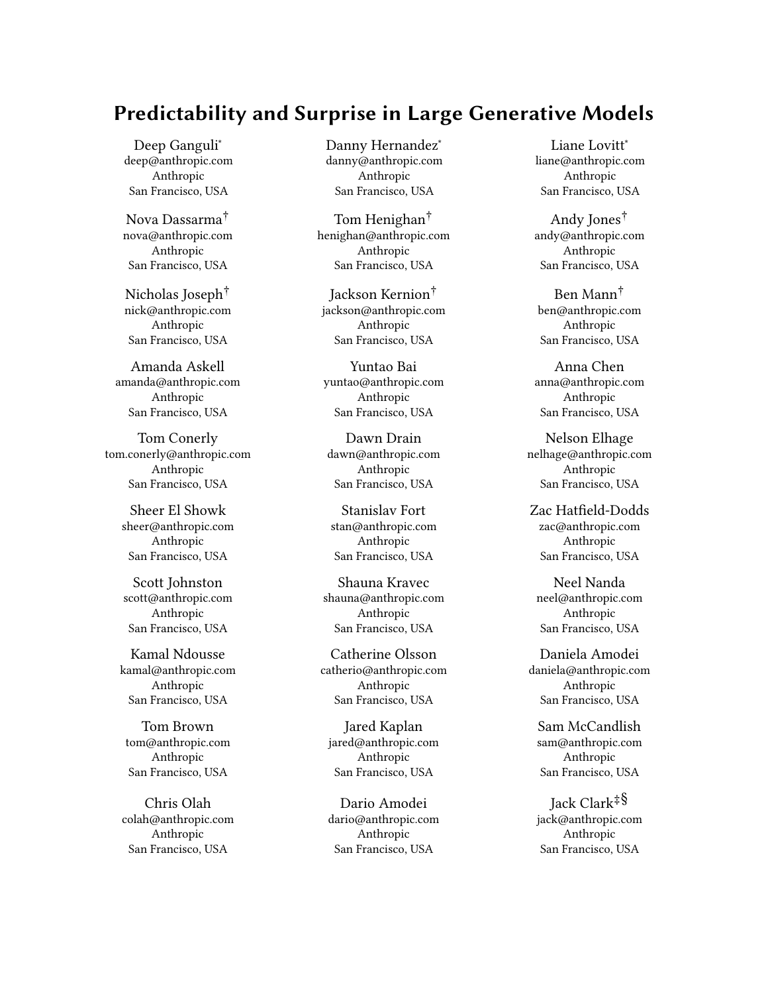

Figure 5 The toxicity of model outputs increases smoothly with model size. This illustrates our claim in Section 2 that harm can scale inversely proportional to decreasing test loss. See Appendix A.6 for details and caveats.

illustrate, in in Section 3.3, how combinations of these factors may explain some empirical observations on how the development and deployment of language models has occurred thus far. In particular, we note that large language models are rapidly proliferating, that there is a rising gap between industry and academia for developing such models, and that there have been numerous documented examples of model deployments causing harm and controversy.

# 3.1 Motivations for Developing and Deploying Large Models

Economic. Perhaps the simplest and most obvious motivation for model development is economic. Scaling laws mean that the cost to develop a model can be precisely estimated, and when an economically valuable output can be found to scale smoothly with the loss, then the returns to training a model can also be calculated. This applies both generally and specifically  $-$  some institutions may wish to broadly improve the capabilities of a given model and will thus have an economic incentive to build them, while others may be targeting a specific model capability which is accompanied by a scaling law, and will therefore also have an incentive to build them. This has the effect of *de-risking* the training of large models: a predictable amount can be invested for a relatively predictable return, unlike many speculative research projects where an open-ended amount must be invested for an uncertain return. Predictability makes the logic of research investment more obvious and may help to justify it within large institutions (see Appendix A.2 for more examples). Thus, economic motivations, combined with continued smooth, general capability scaling, suggest that we should expect to see increasing model deployments. While it may not be possible to predict in advance precisely which search queries will benefit from a particular AI model and which won't, or which applications will flourish and which will unpredictably fail, or which development workflows will be helped by code synthesis models, all of these applications take advantage of broad averages to tie economic returns to the smooth general capability scaling.

Scientific. Large generative models may be a necessary basis for broad swaths of novel interdisciplinary AI research on topics ranging from linguistics and robotics to philosophy and the social sciences [10]. Without the development of (or at least access to) large

models, it will be challenging to research how they may advance progress in societally impactful research domains such as healthcare, education, and law [10]. Large models are also fertile testing grounds for developing next-generation algorithms and architec-

data, or parameter efficient. Prestige. The fact these models are on the frontier of possibility also creates a prestige incentive for developing them. Large models can be an advertisement for the capabilities of an institution – a way to gain a perceived advantage in the public eye, to make it easier to recruit skilled AI researchers, to increase sales of services unrelated to large models, or to support national initiatives or national pride.

tures — novel algorithms can be rigorously evaluated according to whether they advantageously shift scaling laws to be more compute,

All of these motivations have the potential to create an unusual situation where there are strong incentives to develop, disclose, and even deploy large generative models despite high uncertainty about the full extent of what these models are capable of.

# 3.2 Barriers to Entry in Developing and Deploying Large Models

Financial Costs and Engineering Talent. Scaling up large generative models requires a significant financial investment. For example, GPT-3 was estimated to cost several million dollars to train [51]. Scaling up large generative models also requires specific engineering competencies, e.g., distributed systems engineering, familiarity with cluster management tools like Kubernetes, low-level GPU programming, managing continuous integration testing, etc. The size of these models has led to longer development timelines and more complex workflows than previous systems over the past decade. For example, only 10 years ago, one of the larger scale AI models at the time, AlexNet<sup>12</sup> [49], was trained by a graduate student for a few thousand of dollars on a single desktop machine with 2 GPUs.

Safety and Bias. As described in Section 2, open-endedness combined with smooth, general capability scaling and the abrupt scaling of specific capabilities, is likely to lead to safety issues [10, 84] that are found after a model has been developed and deployed. Additionally, these models also possess known (pre-deployment) safety issues for which we lack robust solutions [36] (e.g., How do you ensure the system does not generate inappropriate and harmful outputs, such as making overtly sexist or racist comments [74]? How do you identify bias issues in the system prior to deployment [9, 60]? How do you ensure that when the model outputs a claim, it isn't making up facts [11]?, etc.).

Lack of Standards and Norms. Because these large generative models have been developed very recently (within the last five years), and have only recently become valuable to deploy from an economic perspective, no standards for the safe deployment of these systems exist. This lack of standards compounds the problems caused by the four distinguishing features of generative models we identify in Section 2, as well as the safety issues discussed above. At the same time, there is a growing field of research oriented around identifying the weaknesses of these models, as well as potential

 $^{12}\mathrm{Though}$  not a generative model, AlexNet was, at the time, a frontier model in terms of computational consumption, hence why we include it as a comparison.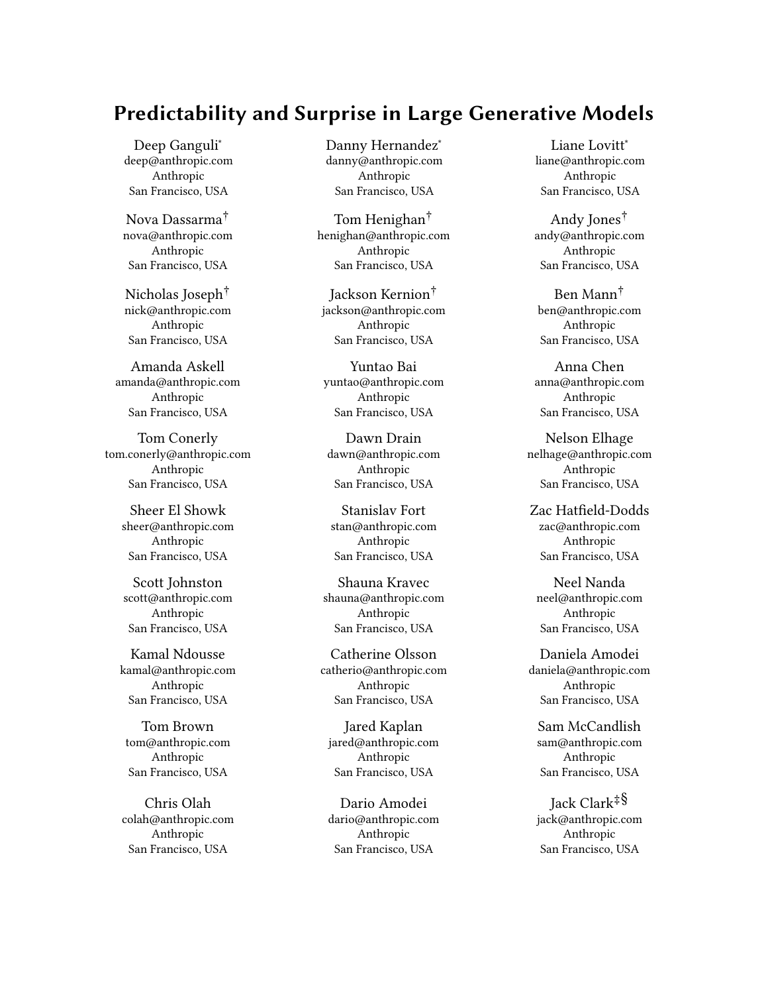

Figure 6 Timeline of public disclosures of GPT-3 scale dense language models.

problems with their associated development and deployment practices [8, 10, 22, 45, 57, 70, 75, 76, 84]. However, this research is not yet embodied in the form of repeatable standards that developers can adopt, though there are some critical and important steps in this direction (e.g., through the use of model cards [54] and data sheets [29] to document the capabilities, drawbacks, and other salient details of models). This lack of standards makes it both more challenging to deploy systems, as developers may need to determine their own policies for deployment, and it also makes deployments inherently risky, as there is less shared knowledge about what 'safe' deployments look like. We are, in a sense, building the plane as it is taking off.

# 3.3 Empirical Observations

The above sections described some motivations and challenges that we expect AI developers to face with respect to large models. In this section we assess how those issues may explain three inter-related empirical observations: (1) large language models are rapidly proliferating (2) industry has become responsible for a larger share of resource-intensive model development compared to academia, and (3) large model deployment has already caused harm and controversy.

Large Language Models Are Rapidly Proliferating. Figure 6 shows a timeline of public disclosures of GPT-3 scale (100B - 530B) dense language models, since GPT-3.<sup>13</sup> About one year after GPT-3 was announced, a spike in similar model announcements followed. These models were developed by both large and small private organizations from around the world: Jurassic-1-Jumbo [52], AI21 Labs, Israel; Ernie <sup>3</sup>.<sup>0</sup> Titan [82], Baidu, China; Gopher [63], DeepMind, USA/UK; FLAN [83] & LaMDA [79], Google, USA; Pan Gu [90] Huawei, China; Yuan <sup>1</sup>.<sup>0</sup> [88], Inspur, China; Megatron Turing NLG [73], Microsoft & NVIDIA, USA; and HyperClova [47], Naver, Korea. This suggests that the economic incentives to build such models, and the prestige incentives to announce them, are quite strong.

Rising Gap Between Industry and Academia. At the time of writing, the largest language models that are free and publicly available are BigScience T0 (11B) [69], and Eleuther AI's GPT-J (6B) [81] and GPT-NeoX (20B) [50], which are one to two orders of magnitude smaller

than those developed by industry. Although academics can easily access (at least some of) the larger models, it is typically only possible to do so through a (potentially expensive) company-controlled API. This is part of a broader and longer-running trend towards high-compute research migrating from academia to industry that can be quantified (See Appendix A.7). Figure 7 (Left) shows that in recent years the compute required for large-scale AI experiments has increased by more than 300,000X relative to a decade ago.<sup>14</sup> Along with this rise in resource intensity, we see a corresponding (and sharp) fall in the proportion of these results that come from academia (Figure 7, Right). This suggests that, although academics may be strongly motivated by scientific curiosity, and well-poised to research safety issues, they may be significantly challenged by the high financial and engineering costs.

Harm and Controversy. There have been numerous examples of harm caused by the deployment of large generative models. For example, the AI system Tay was deployed before it was properly scrutinized, and generated hateful language [87]. It has also been shown that language models can memorize training data (which in turn can include privately identifiable information) [15, 58] and aid in disinformation campaigns [14]. Furthermore, people critical of organizations deploying such models have been directly harmed for voicing their concerns, sometimes to much controversy [72]. Legislators are actively grappling with these issues. For example, the European Commission's proposed AI legislation seeks to create standards for how 'high risk' AI systems are deployed and monitored.15 This suggests that standards and norms for responsible model development and deployment are both significantly needed and lacking.

# 4 INTERVENTIONS TO ENCOURAGE BENEFICIAL DEPLOYMENTS

Based on the distinguishing features of large generative models that we outline in Section 2, and the various motivations for model development and deployment that we discuss in Section 3, we believe that large generative models will increasingly be developed and deployed despite their potential for harm. Here, we outline possible technical and policy interventions (along with corresponding implementation paths) that can increase the chance of these

 $^{13}\mathrm{The}$  timeline does not include sparse or mixture of experts models (e.g. GLaM [25]), which often achieve comparable performance with similar or slightly lower compute, but are difficult to characterize in terms of a single model size. It also does not include models trained on different modalities, such as code [5, 17], or multi-modal models such as [62].

 $\overline{14}$  Some people have noted that this trend may not be sustainable [53]

<sup>15</sup>https://digital-strategy.ec.europa.eu/en/policies/european-approach-artificialintelligence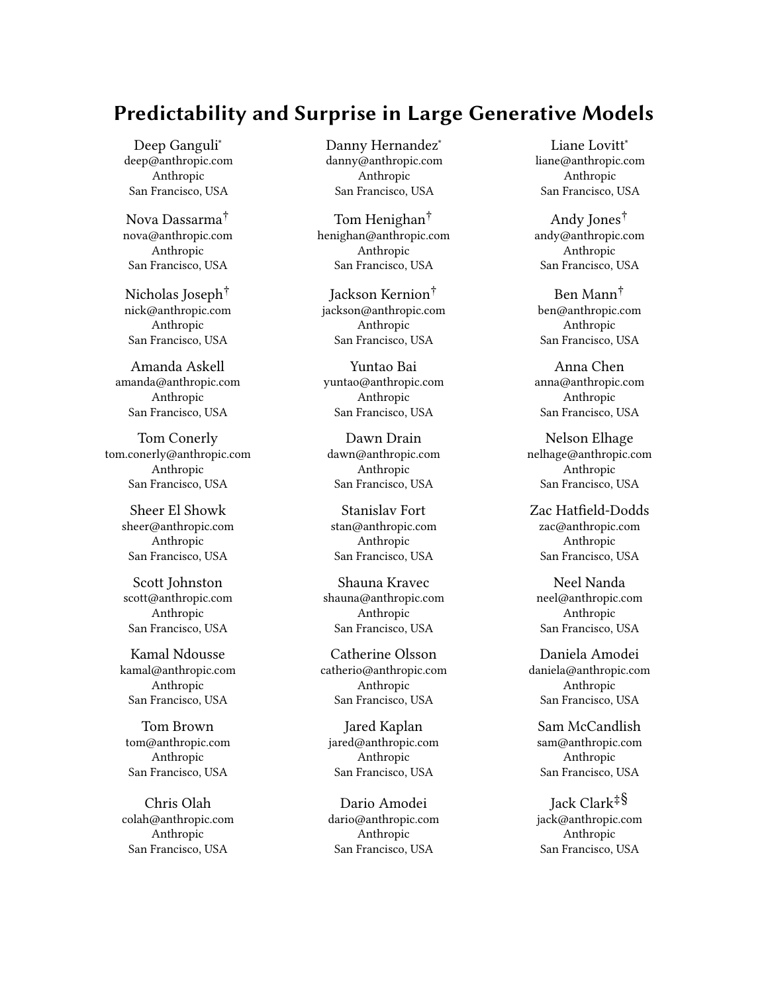

Figure 7 (Left) The amount of compute required by major AI projects over time is increasing exponentially for both academic (blue) and industrial (orange) projects. (Right) The proportion of computationally-intensive AI results from academia is steadily decreasing (blue curve represents a Lowess fit to the data).

models being developed and deployed in positive ways. For each intervention, we refer to the literature concerning related efforts. Furthermore, we provide a concrete implementation path for each intervention along with possible caveats.

Reduce compute asymmetries between the private sector and academia. As shown in section 3.3, private sector organizations are the primary developers and deployers of large generative models. This means that other actors, such as academic and government ones, are less well-placed to understand the distinguishing technical features of these models, and are therefore less equipped to research the problems inherent to them. As outlined in Section 3.2, the main constraints here are the financial and engineering resources for model training - therefore, we should create experimental infrastructure<sup>16</sup> to make it easier for a larger scientific community to analyze these models. To support and effectively utilize such infrastructure, academic and government organizations will also need to find ways to make the necessary financial and structural investments to be able to hire and retain technical talent that may otherwise go to industry. This is important because academic and public sector motivations may stem more from the pursuit of knowledge rather than profit, and can draw on more varied expertise than the private sector for analyzing and exploring large generative models.  $^{17}$  Although large models are resource-intensive, they are actually much less expensive than academic 'Big Science' projects in some other fields. For instance, the Large Hadron Collider cost \$5 billion to build [48], the International Thermonuclear Experiment Reactor is projected to cost between \$10 and \$15 billion<sup>18</sup>, the Square Kilometre Array is projected to cost around \$1 billion [16], and the Long-Baseline Neutrino Facility and Deep Underground Neutrino Experiment are anticipated to cost \$2.<sup>4</sup> billion [78]. By comparison, training frontier generative models like GPT-3 and others costs on the order

of a million to ten million dollars, so the infrastructure to develop models substantially larger than the current frontier would have precedent in academia.

Implementation Path: Countries may wish to develop and deploy so-called 'National Research Clouds' that facilitate access to a heavily subsidized and/or free compute resource for academic researchers. An existing example here includes Compute Canada.<sup>19</sup> There are also future initiatives being considered, such as the infrastructure being analyzed by the US government's National AI Research Resource task force<sup>20</sup>, and the 'Big Science' project which is leveraging a supercomputer (partially subsidized by the French government) to train large generative models. Recent work from Stanford also explores this implementation path in more detail [41].

Improve knowledge about how to 'red team' models. As some of the challenges from these models stem from their open-ended nature (perhaps compounded by smooth and abrupt capability scaling) we should develop ways to more effectively explore the input and output space of their models, so as to discover harms prior to deployment. We can model this on the 'red team' approach which is popular in the computer security industry and can be applied in an AI context [6, 13]. This should take the form of both static benchmarks (for example, adversarial datasets to probe for weaknesses in computer vision systems [37]), as well as continuous evaluation by humans carrying out multi-step interactions (e.g. conversations [4, 89]) with these models, as well as plans for how to update the models in response to what these evaluations find.

Implementation Path: Model developers should invest in internal red teaming approaches for their models and seek to publish on the techniques, datasets, and policy choices they make when red teaming. This will facilitate more shared awareness about how to red team models. There may also be a commercial market that can be developed for 'red teaming as a service', though more community research into the area may be a prerequisite for this. AI developers may also wish to create 'bug bounty' initiatives, where they give out prizes to people who can demonstrate repeatable ways of breaking a given AI system [46]. Finally, we should consider how to augment (or complement) manual red-teaming with automated methods [58].

<sup>&</sup>lt;sup>16</sup>We do not distinguish between public or private (cloud) infrastructure. Some have raised concerns regarding how specific choices here may centralize power in different ways [43]. Governments will need to examine how usable these different infrastructures are, and the long-term ramifications of empowering particular infrastructure providers.  $^{17}\mathrm{It}$  is worth noting that by increasing the amount of actors with access to non-trivial compute, it's possible to increase some risks with regard to safe development and deployment of models, especially those that stem from a need to coordinate among different developers. However, this risk likely does not add significantly to the existing risk landscape, given that economic incentives for model development are leading to a proliferation of model developers in industry — academics have much less of an incentive to commercially deploy their models. On balance, therefore, it seems helpful to give academia more resources to help it serve as a counter-weight to industry. <sup>18</sup>https://www.iter.org/FAQ

 $^{19}{\rm https://www.computecanada.ca/home/}$ 

<sup>20</sup>https://www.whitehouse.gov/ostp/news-updates/2021/06/10/the-biden-

administration-launches-the-national-artificial-intelligence-research-resourcetask-force/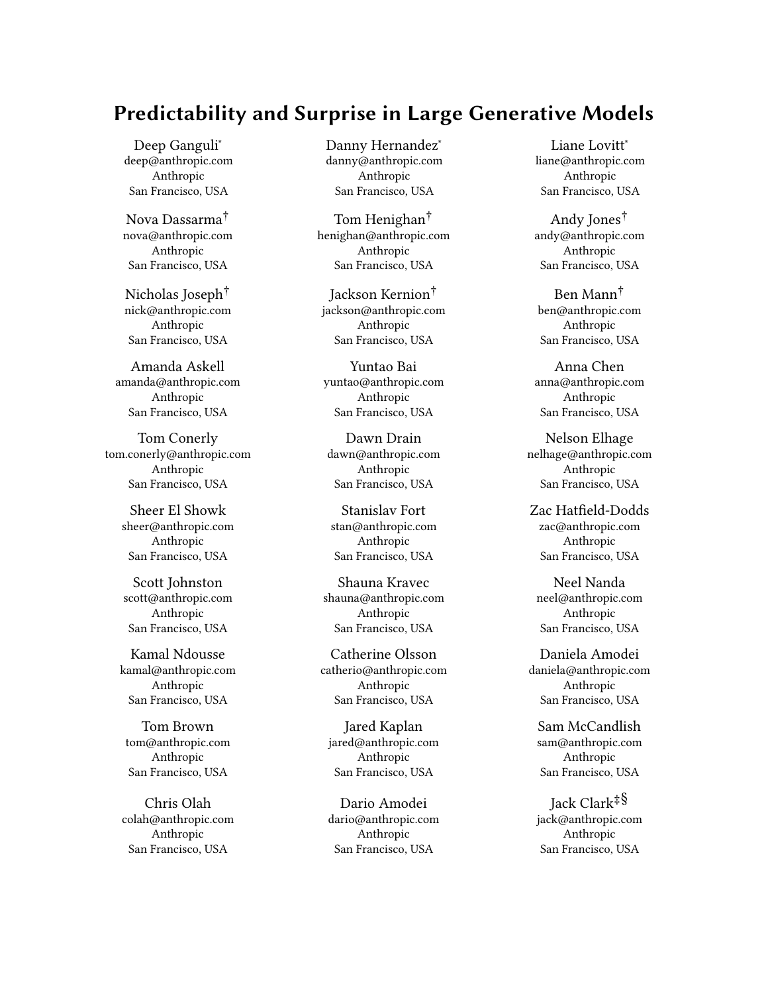Explore and prototype novel governance structures and government interventions. If the capabilities and resource-intensiveness of models scale further, then it may be prudent to explore governance structures that alter the incentives of private sector actors with regard to development and deployment. To do this, there will be a combination of soft regulation (e.g., the creation of voluntary best practices by industry, academia, civil society, and government), and hard regulation (e.g. transferring these best practices into standards and legislation). Governments should also explore regulatory approaches that can increase the chance of actors developing and deploying beneficial systems.

Implementation Path: AI development organizations should experiment with novel governance and oversight structures that let a broader set of stakeholders factor into model deployment decisions. This could take the form of oversight functions which can critique and publicly censure organizations should the organization diverge from the recommendations of the oversight body, to novel forms of governance that give diverse stakeholders power over an organization (for example, a private company could elect board members who represent the interests of civil society and/or academia rather than a pure profit-driven motive). AI development organizations should also work among themselves to develop best practices for the development and deployment of AI systems, then seek to get feedback on these from a broader range of stakeholders, potentially via the creation of third-party organizations for the purposes of standard formation. Along with innovations in governance of AI organizations, and work on best practices, we also believe governments should invest in better methods to assure the benefits of systems being deployed - specifically, governments should support efforts to measure and monitor the capabilities (both harmful and beneficial) of deployed AI systems [86], and should support the creation of an ecosystem oriented around auditing AI models and AI development processes [55, 65, 66].

Improve the tools available for model evaluation. Given the openended nature and scale of these models, researchers would benefit from having more tools available to help them comprehensively and efficiently evaluate these models. If we can find ways to create more open source tools and frameworks in this area, then we can benefit the broader model development ecosystem. Particularly valuable would be tools for doing a very broad set of evaluations, or evaluations that search (e.g. across prompts) for new capabilities, rather than just fixed evaluation datasets that measure known capabilities.

Implementation Path: Research funding organizations should allocate funds to researchers that are building evaluation systems (e.g., software, tests, and benchmarks) and critiquing them (e.g., see [21, 64]). Private sector and independent research organizations should invest further into developing tools to help researchers understand and evaluate large generative models - existing examples include Eleuther's 'Language Model Evaluation Harness' [28], the BIG-bench benchmark $^{\bar{2}1}$ , HuggingFace's 'BERTology' tooling $^{22},$ and more.

Improve our understanding of abrupt jumps in capabilities. In Section 2.2 we gave a few examples of abrupt jumps in capabilities (abrupt capability scaling). Anecdotally, our experience has been that abrupt jumps occur in only a minority of tasks, but at the same time are not especially rare. How often do they occur, is there a pattern to the kind of tasks on which they occur, why do they occur, and are there any leading indicators that predict when they are about to occur? Answering these questions could help to address some of the most surprising behavior in large models, and might be especially important for future AI safety issues.

Implementation Path: A systematic empirical study of abrupt jumps, across research and possibly commercial tasks for large models, could help to shed light on how common they are and when they occur. One route to studying this could be through interpretability research (e.g., [18]), and specifically a new approach known as mechanistic interpretability [26] - attempting to reverse engineer the computations performed by transformers (which underpin many of the generative models discussed in this paper) gives researchers a way to better understand how models behave.

# 5 CONCLUSION

In this paper we articulate (and provide evidence for) our basic thesis that large generative models have a paradoxical combination of high predictability — model loss improves in relation to resources expended on training, and tends to correlate loosely with improved performance on many tasks  $-$  and high unpredictability  $-$  specific model capabilities, inputs, and outputs can't be predicted ahead of time. The former drives rapid development of such models while the latter makes it difficult to anticipate the consequences of their development and deployment. We describe how these traits combine to alter the landscape of AI development, making it more likely a greater number of actors will build these models. Put bluntly: the status quo outlined here suggests that the next few years will see a proliferation of actors building ever-larger models, and these actors will have strong motivations to deploy these models, despite their potential for (possibly unpredictable) harmful societal impact. Various interventions (including the ones we outline in our paper) can change this dynamic, but it is nevertheless the current situation we must start from and continue to improve.

### ACKNOWLEDGMENTS

We thank Sam Bowman, Miles Brundage, Timnit Gebru, Gillian Hadfield, Percy Liang, Luke Muehlhauser, Helen Ngo, Michael Sellitto, Alex Tamkin, Helen Toner, and Sharon Zhou, and the anonymous reviewers for detailed feedback on drafts of the paper.

#### **REFERENCES**

- [1] Neel Alex, Eli Lifland, Lewis Tunstall, Abhishek Thakur, Pegah Maham, C. Jess Riedel, Emmie Hine, Carolyn Ashurst, Paul Sedille, Alexis Carlier, Michael Noetel, and Andreas Stuhlmüller. 2021. RAFT: A Real-World Few-Shot Text Classification Benchmark. arXiv:2109.14076 [cs] (Nov. 2021).<http://arxiv.org/abs/2109.14076> arXiv: 2109.14076.
- Dario Amodei, Danny Hernandez, Girish Sastry, Jack Clark, Greg Brockman, and Ilya Sutskever. 2018. AI and Compute.<https://openai.com/blog/ai-and-compute/>
- Julia Angwin, Jeff Larson, Surya Mattu, and Lauren Kirchner. 2016. Machine bias: There's software used across the country to predict future criminals. and it's biased against blacks. [https://www.propublica.org/article/machine-bias](https://www.propublica.org/article/machine-bias-risk-assessments-in-criminal-sentencing)[risk-assessments-in-criminal-sentencing](https://www.propublica.org/article/machine-bias-risk-assessments-in-criminal-sentencing)
- [4] Amanda Askell, Yuntao Bai, Anna Chen, Dawn Drain, Deep Ganguli, Tom Henighan, Andy Jones, Nicholas Joseph, Ben Mann, Nova DasSarma, Nelson

 $\rm ^{21}$ https://github.com/google/BIG-bench

<sup>22</sup>https://huggingface.co/docs/transformers/bertology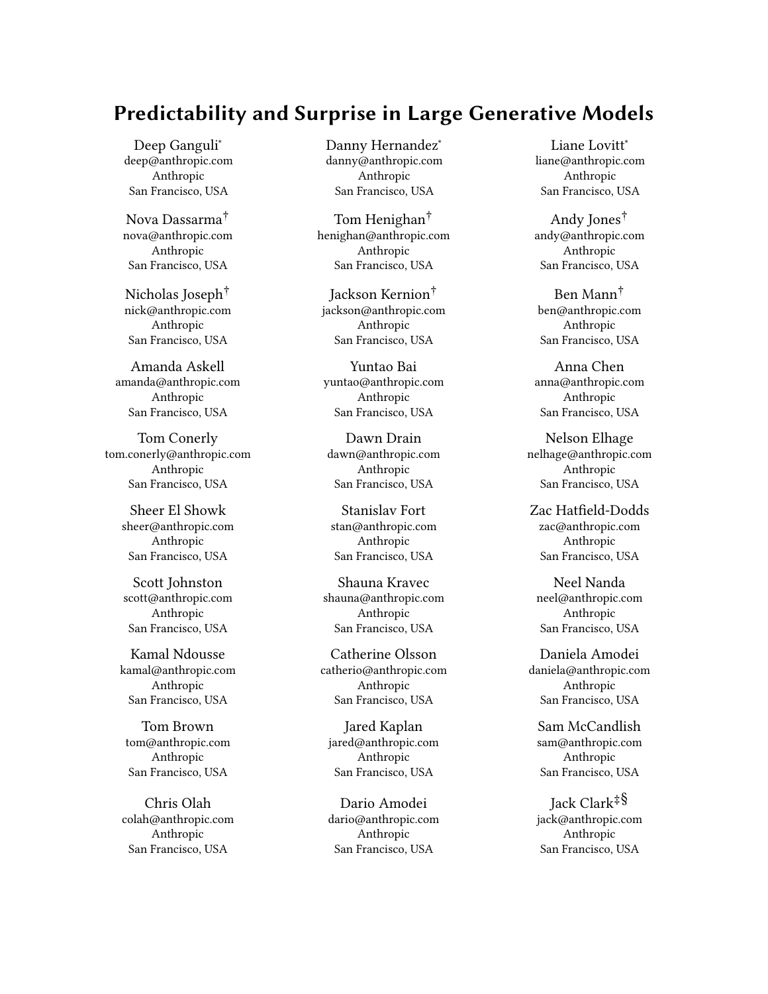Elhage, Zac Hatfield-Dodds, Danny Hernandez, Jackson Kernion, Kamal Ndousse, Catherine Olsson, Dario Amodei, Tom Brown, Jack Clark, Sam McCandlish, Chris Olah, and Jared Kaplan. 2021. A General Language Assistant as a Laboratory for Alignment. arXiv:2112.00861 [cs] (Dec. 2021).<http://arxiv.org/abs/2112.00861> arXiv: 2112.00861.

- [5] Jacob Austin, Augustus Odena, Maxwell Nye, Maarten Bosma, Henryk Michalewski, David Dohan, Ellen Jiang, Carrie Cai, Michael Terry, Quoc Le, and Charles Sutton. 2021. Program Synthesis with Large Language Models. arXiv:2108.07732 [cs] (Aug. 2021).<http://arxiv.org/abs/2108.07732> arXiv: 2108.07732.
- [6] Shahar Avin, Haydn Belfield, Miles Brundage, Gretchen Krueger, Jasmine Wang, Adrian Weller, Markus Anderljung, Igor Krawczuk, David Krueger, Jonathan Lebensold, Tegan Maharaj, and Noa Zilberman. 2021. Filling gaps in trustworthy development of AI. Science (Dec. 2021).<https://doi.org/10.1126/science.abi7176> Publisher: American Association for the Advancement of Science.
- [7] Michelle Bao, Angela Zhou, Samantha Zottola, Brian Brubach, Sarah Desmarais, Aaron Horowitz, Kristian Lum, and Suresh Venkatasubramanian. 2021. It's COMPASlicated: The Messy Relationship between RAI Datasets and Algorithmic Fairness Benchmarks. arXiv:2106.05498 [cs] (June 2021). [http://arxiv.org/abs/](http://arxiv.org/abs/2106.05498) [2106.05498](http://arxiv.org/abs/2106.05498) arXiv: 2106.05498.
- [8] Emily M. Bender, Timnit Gebru, Angelina McMillan-Major, and Shmargaret Shmitchell. 2021. On the Dangers of Stochastic Parrots: Can Language Models Be Too Big?. In Proceedings of the 2021 ACM Conference on Fairness, Accountability, and Transparency (FAccT '21). Association for Computing Machinery, New York, NY, USA, 610–623.<https://doi.org/10.1145/3442188.3445922>
- [9] Su Lin Blodgett, Solon Barocas, Hal Daumé III, and Hanna Wallach. 2020. Language (Technology) is Power: A Critical Survey of "Bias" in NLP. arXiv:2005.14050 [cs] (May 2020).<http://arxiv.org/abs/2005.14050> arXiv: 2005.14050.
- [10] Rishi Bommasani, Drew A. Hudson, Ehsan Adeli, Russ Altman, Simran Arora, Sydney von Arx, Michael S. Bernstein, Jeannette Bohg, Antoine Bosselut, Emma Brunskill, Erik Brynjolfsson, Shyamal Buch, Dallas Card, Rodrigo Castellon, Niladri Chatterji, Annie Chen, Kathleen Creel, Jared Quincy Davis, Dora Demszky, Chris Donahue, Moussa Doumbouya, Esin Durmus, Stefano Ermon, John Etchemendy, Kawin Ethayarajh, Li Fei-Fei, Chelsea Finn, Trevor Gale, Lauren Gillespie, Karan Goel, Noah Goodman, Shelby Grossman, Neel Guha, Tatsunori Hashimoto, Peter Henderson, John Hewitt, Daniel E. Ho, Jenny Hong, Kyle Hsu, Jing Huang, Thomas Icard, Saahil Jain, Dan Jurafsky, Pratyusha Kalluri, Siddharth Karamcheti, Geoff Keeling, Fereshte Khani, Omar Khattab, Pang Wei Koh, Mark Krass, Ranjay Krishna, Rohith Kuditipudi, Ananya Kumar, Faisal Ladhak, Mina Lee, Tony Lee, Jure Leskovec, Isabelle Levent, Xiang Lisa Li, Xuechen Li, Tengyu Ma, Ali Malik, Christopher D. Manning, Suvir Mirchandani, Eric Mitchell, Zanele Munyikwa, Suraj Nair, Avanika Narayan, Deepak Narayanan, Ben Newman, Allen Nie, Juan Carlos Niebles, Hamed Nilforoshan, Julian Nyarko, Giray Ogut, Laurel Orr, Isabel Papadimitriou, Joon Sung Park, Chris Piech, Eva Portelance, Christopher Potts, Aditi Raghunathan, Rob Reich, Hongyu Ren, Frieda Rong, Yusuf Roohani, Camilo Ruiz, Jack Ryan, Christopher Ré, Dorsa Sadigh, Shiori Sagawa, Keshav Santhanam, Andy Shih, Krishnan Srinivasan, Alex Tamkin, Rohan Taori, Armin W. Thomas, Florian Tramèr, Rose E. Wang, William Wang, Bohan Wu, Jiajun Wu, Yuhuai Wu, Sang Michael Xie, Michihiro Yasunaga, Jiaxuan You, Matei Zaharia, Michael Zhang, Tianyi Zhang, Xikun Zhang, Yuhui Zhang, Lucia Zheng, Kaitlyn Zhou, and Percy Liang. 2021. On the Opportunities and Risks of Foundation Models. arXiv:2108.07258 [cs] (Aug. 2021).<http://arxiv.org/abs/2108.07258> arXiv: 2108.07258.
- [11] Sebastian Borgeaud, Arthur Mensch, Jordan Hoffmann, Trevor Cai, Eliza Rutherford, Katie Millican, George van den Driessche, Jean-Baptiste Lespiau, Bogdan Damoc, Aidan Clark, Diego de Las Casas, Aurelia Guy, Jacob Menick, Roman Ring, Tom Hennigan, Saffron Huang, Loren Maggiore, Chris Jones, Albin Cassirer, Andy Brock, Michela Paganini, Geoffrey Irving, Oriol Vinyals, Simon Osindero, Karen Simonyan, Jack W. Rae, Erich Elsen, and Laurent Sifre. 2021. Improving language models by retrieving from trillions of tokens. arXiv:2112.04426 [cs] (Dec. 2021).<http://arxiv.org/abs/2112.04426> arXiv: 2112.04426.
- [12] Tom Brown, Benjamin Mann, Nick Ryder, Melanie Subbiah, Jared D Kaplan, Prafulla Dhariwal, Arvind Neelakantan, Pranav Shyam, Girish Sastry, Amanda Askell, Sandhini Agarwal, Ariel Herbert-Voss, Gretchen Krueger, Tom Henighan, Rewon Child, Aditya Ramesh, Daniel Ziegler, Jeffrey Wu, Clemens Winter, Chris Hesse, Mark Chen, Eric Sigler, Mateusz Litwin, Scott Gray, Benjamin Chess, Jack Clark, Christopher Berner, Sam McCandlish, Alec Radford, Ilya Sutskever, and Dario Amodei. 2020. Language Models are Few-Shot Learners. In Advances in Neural Information Processing Systems, H. Larochelle, M. Ranzato, R. Hadsell, M. F. Balcan, and H. Lin (Eds.), Vol. 33. Curran Associates, Inc., 1877–1901. [https://proceedings.](https://proceedings.neurips.cc/paper/2020/file/1457c0d6bfcb4967418bfb8ac142f64a-Paper.pdf) [neurips.cc/paper/2020/file/1457c0d6bfcb4967418bfb8ac142f64a-Paper.pdf](https://proceedings.neurips.cc/paper/2020/file/1457c0d6bfcb4967418bfb8ac142f64a-Paper.pdf)
- [13] Miles Brundage, Shahar Avin, Jasmine Wang, Haydn Belfield, Gretchen Krueger, Gillian Hadfield, Heidy Khlaaf, Jingying Yang, Helen Toner, Ruth Fong, Tegan Maharaj, Pang Wei Koh, Sara Hooker, Jade Leung, Andrew Trask, Emma Bluemke, Jonathan Lebensold, Cullen O'Keefe, Mark Koren, Théo Ryffel, J. B. Rubinovitz, Tamay Besiroglu, Federica Carugati, Jack Clark, Peter Eckersley, Sarah de Haas, Maritza Johnson, Ben Laurie, Alex Ingerman, Igor Krawczuk, Amanda Askell,

Rosario Cammarota, Andrew Lohn, David Krueger, Charlotte Stix, Peter Henderson, Logan Graham, Carina Prunkl, Bianca Martin, Elizabeth Seger, Noa Zilberman, Seán O hÉigeartaigh, Frens Kroeger, Girish Sastry, Rebecca Kagan, Adrian Weller, Brian Tse, Elizabeth Barnes, Allan Dafoe, Paul Scharre, Ariel Herbert-Voss, Martijn Rasser, Shagun Sodhani, Carrick Flynn, Thomas Krendl Gilbert, Lisa Dyer, Saif Khan, Yoshua Bengio, and Markus Anderljung. 2020. Toward Trustworthy AI Development: Mechanisms for Supporting Verifiable Claims. arXiv:2004.07213 [cs] (April 2020).<http://arxiv.org/abs/2004.07213> arXiv: 2004.07213.

- [14] Ben Buchanan, Andrew Lohn, Micha Musser, and Katerina Sedova. 2021. Truth, Lies, and Automation. [https://cset.georgetown.edu/publication/truth-lies-and](https://cset.georgetown.edu/publication/truth-lies-and-automation/)[automation/](https://cset.georgetown.edu/publication/truth-lies-and-automation/)
- [15] Nicholas Carlini, Florian Tramer, Eric Wallace, Matthew Jagielski, Ariel Herbert-Voss, Katherine Lee, Adam Roberts, Tom Brown, Dawn Song, Ulfar Erlingsson, Alina Oprea, and Colin Raffel. 2021. Extracting Training Data from Large Language Models. arXiv:2012.07805 [cs] (June 2021).<http://arxiv.org/abs/2012.07805> arXiv: 2012.07805.
- [16] Edwin Cartlidge. 2019. Square Kilometre Array hit with further cost hike and delay. Physics World (Aug. 2019). [https://physicsworld.com/a/square-kilometre](https://physicsworld.com/a/square-kilometre-array-hit-with-further-cost-hike-and-delay/)[array-hit-with-further-cost-hike-and-delay/](https://physicsworld.com/a/square-kilometre-array-hit-with-further-cost-hike-and-delay/)
- [17] Mark Chen, Jerry Tworek, Heewoo Jun, Qiming Yuan, Henrique Ponde de Oliveira Pinto, Jared Kaplan, Harri Edwards, Yuri Burda, Nicholas Joseph, Greg Brockman, Alex Ray, Raul Puri, Gretchen Krueger, Michael Petrov, Heidy Khlaaf, Girish Sastry, Pamela Mishkin, Brooke Chan, Scott Gray, Nick Ryder, Mikhail Pavlov, Alethea Power, Lukasz Kaiser, Mohammad Bavarian, Clemens Winter, Philippe Tillet, Felipe Petroski Such, Dave Cummings, Matthias Plappert, Fotios Chantzis, Elizabeth Barnes, Ariel Herbert-Voss, William Hebgen Guss, Alex Nichol, Alex Paino, Nikolas Tezak, Jie Tang, Igor Babuschkin, Suchir Balaji, Shantanu Jain, William Saunders, Christopher Hesse, Andrew N. Carr, Jan Leike, Josh Achiam, Vedant Misra, Evan Morikawa, Alec Radford, Matthew Knight, Miles Brundage, Mira Murati, Katie Mayer, Peter Welinder, Bob McGrew, Dario Amodei, Sam McCandlish, Ilya Sutskever, and Wojciech Zaremba. 2021. Evaluating Large Language Models Trained on Code. arXiv:2107.03374 [cs] (July 2021). [http:](http://arxiv.org/abs/2107.03374) [//arxiv.org/abs/2107.03374](http://arxiv.org/abs/2107.03374) arXiv: 2107.03374.
- [18] Kevin Clark, Urvashi Khandelwal, Omer Levy, and Christopher D. Manning. 2019. What Does BERT Look At? An Analysis of BERT's Attention. arXiv:1906.04341 [cs] (June 2019).<http://arxiv.org/abs/1906.04341> arXiv: 1906.04341.
- Kaleigh Clary, Emma Tosch, John Foley, and David Jensen. 2019. Let's Play Again: Variability of Deep Reinforcement Learning Agents in Atari Environments. arXiv:1904.06312 [cs, stat] (April 2019).<http://arxiv.org/abs/1904.06312> arXiv: 1904.06312.
- [20] Kate Crawford. 2021. Atlas of AI. Yale University Press. [https://yalebooks.yale.](https://yalebooks.yale.edu/book/9780300209570/atlas-ai) [edu/book/9780300209570/atlas-ai](https://yalebooks.yale.edu/book/9780300209570/atlas-ai)
- [21] Emily Denton, Alex Hanna, Razvan Amironesei, Andrew Smart, Hilary Nicole, and Morgan Klaus Scheuerman. 2020. Bringing the People Back In: Contesting Benchmark Machine Learning Datasets. arXiv:2007.07399 [cs] (July 2020). [http:](http://arxiv.org/abs/2007.07399) [//arxiv.org/abs/2007.07399](http://arxiv.org/abs/2007.07399) arXiv: 2007.07399.
- [22] Emily Dinan, Gavin Abercrombie, A. Stevie Bergman, Shannon Spruit, Dirk Hovy, Y.-Lan Boureau, and Verena Rieser. 2021. Anticipating Safety Issues in E2E Conversational AI: Framework and Tooling. arXiv:2107.03451 [cs] (July 2021). <http://arxiv.org/abs/2107.03451> arXiv: 2107.03451.
- [23] Julia Dressel and Hany Farid. 2018. The accuracy, fairness, and limits of predicting recidivism. Science Advances (Jan. 2018).<https://doi.org/10.1126/sciadv.aao5580> Publisher: American Association for the Advancement of Science.
- [24] Jasha Droppo and Oguz Elibol. 2021. Scaling Laws for Acoustic Models. arXiv:2106.09488 [cs, eess] (June 2021).<http://arxiv.org/abs/2106.09488> arXiv: 2106.09488.
- [25] Nan Du, Yanping Huang, Andrew M. Dai, Simon Tong, Dmitry Lepikhin, Yuanzhong Xu, Maxim Krikun, Yanqi Zhou, Adams Wei Yu, Orhan Firat, Barret Zoph, Liam Fedus, Maarten Bosma, Zongwei Zhou, Tao Wang, Yu Emma Wang, Kellie Webster, Marie Pellat, Kevin Robinson, Kathy Meier-Hellstern, Toju Duke, Lucas Dixon, Kun Zhang, Quoc V. Le, Yonghui Wu, Zhifeng Chen, and Claire Cui. 2021. GLaM: Efficient Scaling of Language Models with Mixture-of-Experts. arXiv:2112.06905 [cs] (Dec. 2021).<http://arxiv.org/abs/2112.06905> arXiv: 2112.06905.
- [26] Nelson Elhage, Neel Nanda, Catherine Olsson, Tom Henighan, Nicholas Joseph, Ben Mann, Amanda Askell, Yuntao Bai, Anna Chen, Tom Conerly, Nova Das-Sarma, Dawn Drain, Deep Ganguli, Zac Hatfield-Dodds, Danny Hernandez, Andy Jones, Jackson Kernion, Liane Lovitt, Kamal Ndousse, Dario Amodei, Tom Brown, Jack Clark, Jared Kaplan, Sam McCandlish, and Chris Olah. 2021. A Mathematical Framework for Transformer Circuits.
- [27] Sorelle A. Friedler, Carlos Scheidegger, and Suresh Venkatasubramanian. 2016. On the (im)possibility of fairness. arXiv:1609.07236 [cs, stat] (Sept. 2016). [http:](http://arxiv.org/abs/1609.07236) [//arxiv.org/abs/1609.07236](http://arxiv.org/abs/1609.07236) arXiv: 1609.07236.
- [28] Leo Gao, Jonathan Tow, Stella Biderman, Sid Black, Anthony DiPofi, Charles Foster, Laurence Golding, Jeffrey Hsu, Kyle McDonell, Niklas Muennighoff, Jason Phang, Laria Reynolds, Eric Tang, Anish Thite, Ben Wang, Kevin Wang, and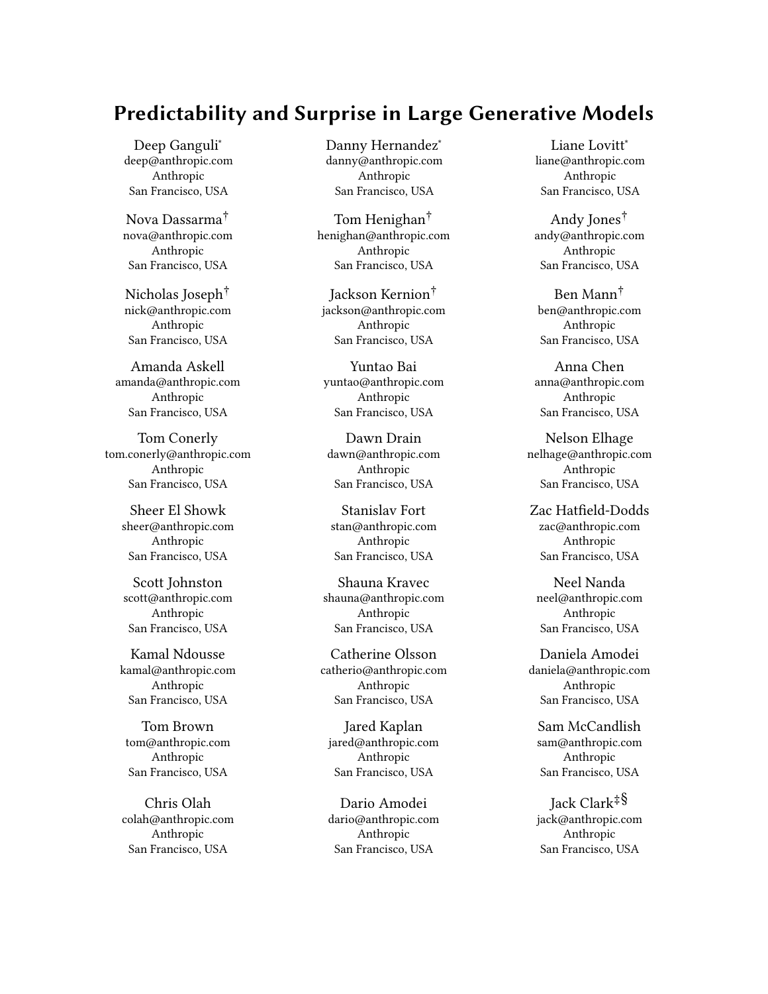Predictability and Surprise in Large Generative Models **FACCT** 22, June 21–24, 2022, Seoul, Republic of Korea

Andy Zou. 2021. A framework for few-shot language model evaluation. [https:](https://doi.org/10.5281/zenodo.5371628) [//doi.org/10.5281/zenodo.5371628](https://doi.org/10.5281/zenodo.5371628)

- [29] Timnit Gebru, Jamie Morgenstern, Briana Vecchione, Jennifer Wortman Vaughan, Hanna Wallach, Hal Daumé III, and Kate Crawford. 2021. Datasheets for Datasets. arXiv:1803.09010 [cs] (Dec. 2021).<http://arxiv.org/abs/1803.09010> arXiv: 1803.09010.
- [30] Samuel Gehman, Suchin Gururangan, Maarten Sap, Yejin Choi, and Noah A. Smith. 2020. RealToxicityPrompts: Evaluating Neural Toxic Degeneration in Language Models. ArXiv abs/2009.11462 (2020).
- [31] Mary Gray and Siddharth Suri. 2019. Ghost Work. Mariner Books. [https:](https://ghostwork.info/) [//ghostwork.info/](https://ghostwork.info/)
- [32] Soyeon Caren Han, Taejun Lim, Siqu Long, Bernd Burgstaller, and Josiah Poon. 2021. GLocal-K: Global and Local Kernels for Recommender Systems. (Aug. 2021). <https://doi.org/10.1145/3459637.3482112>
- [33] Laura Hanu and Unitary team. 2020. Detoxify. Published: Github. https://github.com/unitaryai/detoxify.
- [34] F. Maxwell Harper and Joseph A. Konstan. 2015. The MovieLens Datasets: History and Context. ACM Transactions on Interactive Intelligent Systems 5, 4 (Dec. 2015), 19:1–19:19.<https://doi.org/10.1145/2827872>
- [35] Dan Hendrycks, Collin Burns, Steven Basart, Andy Zou, Mantas Mazeika, Dawn Song, and Jacob Steinhardt. 2021. Measuring Massive Multitask Language Understanding. arXiv:2009.03300 [cs] (Jan. 2021).<http://arxiv.org/abs/2009.03300> arXiv: 2009.03300.
- [36] Dan Hendrycks, Nicholas Carlini, John Schulman, and Jacob Steinhardt. 2021. Unsolved Problems in ML Safety. arXiv:2109.13916 [cs] (Dec. 2021). [http://arxiv.](http://arxiv.org/abs/2109.13916) [org/abs/2109.13916](http://arxiv.org/abs/2109.13916) arXiv: 2109.13916.
- [37] Dan Hendrycks, Kevin Zhao, Steven Basart, Jacob Steinhardt, and Dawn Song. 2021. Natural Adversarial Examples. arXiv:1907.07174 [cs, stat] (March 2021). <http://arxiv.org/abs/1907.07174> arXiv: 1907.07174.
- [38] Tom Henighan, Jared Kaplan, Mor Katz, Mark Chen, Christopher Hesse, Jacob Jackson, Heewoo Jun, Tom B. Brown, Prafulla Dhariwal, Scott Gray, Chris Hallacy, Benjamin Mann, Alec Radford, Aditya Ramesh, Nick Ryder, Daniel M. Ziegler, John Schulman, Dario Amodei, and Sam McCandlish. 2020. Scaling Laws for Autoregressive Generative Modeling. arXiv:2010.14701 [cs] (Nov. 2020). [http:](http://arxiv.org/abs/2010.14701) [//arxiv.org/abs/2010.14701](http://arxiv.org/abs/2010.14701) arXiv: 2010.14701.
- [39] Danny Hernandez, Jared Kaplan, Tom Henighan, and Sam McCandlish. 2021. Scaling Laws for Transfer.  $arXiv:2102.01293$  [cs] (Feb. 2021). [http://arxiv.org/abs/](http://arxiv.org/abs/2102.01293) [2102.01293](http://arxiv.org/abs/2102.01293) arXiv: 2102.01293.
- [40] Joel Hestness, Sharan Narang, Newsha Ardalani, Gregory Diamos, Heewoo Jun, Hassan Kianinejad, Md Mostofa Ali Patwary, Yang Yang, and Yanqi Zhou. 2017. Deep Learning Scaling is Predictable, Empirically. arXiv:1712.00409 [cs, stat] (Dec. 2017).<http://arxiv.org/abs/1712.00409> arXiv: 1712.00409.
- [41] Daniel Ho, Jennifer King, Russell Wald, and Christopher Wan. 2021. Building a National AI Research Resource. White Paper. Stanford University. [https:](https://hai.stanford.edu/white-paper-building-national-ai-research-resource) [//hai.stanford.edu/white-paper-building-national-ai-research-resource](https://hai.stanford.edu/white-paper-building-national-ai-research-resource)
- [42] Erik Hoel. 2021. Big Tech is replacing human artists with AI. [https://erikhoel.](https://erikhoel.substack.com/p/big-tech-is-replacing-human-artists) [substack.com/p/big-tech-is-replacing-human-artists](https://erikhoel.substack.com/p/big-tech-is-replacing-human-artists)
- [43] AI Now Institute. 2021. Democratize AI? How the proposed National AI Research Resource falls short. [https://medium.com/@AINowInstitute/democratize-ai](https://medium.com/@AINowInstitute/democratize-ai-how-the-proposed-national-ai-research-resource-falls-short-96ae5f67ccfa)[how-the-proposed-national-ai-research-resource-falls-short-96ae5f67ccfa](https://medium.com/@AINowInstitute/democratize-ai-how-the-proposed-national-ai-research-resource-falls-short-96ae5f67ccfa)
- [44] Jared Kaplan, Sam McCandlish, Tom Henighan, Tom B. Brown, Benjamin Chess, Rewon Child, Scott Gray, Alec Radford, Jeffrey Wu, and Dario Amodei. 2020. Scaling Laws for Neural Language Models. arXiv:2001.08361 [cs, stat] (Jan. 2020). <http://arxiv.org/abs/2001.08361> arXiv: 2001.08361.
- [45] Zachary Kenton, Tom Everitt, Laura Weidinger, Iason Gabriel, Vladimir Mikulik, and Geoffrey Irving. 2021. Alignment of Language Agents. arXiv:2103.14659 [cs] (March 2021).<http://arxiv.org/abs/2103.14659> arXiv: 2103.14659.
- [46] Josh Kenway, Francois Camille, Sasha Costanza-Chock, Deborah Raji, Inioluwa, and Joy Buolamwini. 2022. Bug Bounties For Algorithmic Harms? Technical Report. Algorithmic Justice League.<https://www.ajl.org/bugs>
- [47] Boseop Kim, HyoungSeok Kim, Sang-Woo Lee, Gichang Lee, Donghyun Kwak, Dong Hyeon Jeon, Sunghyun Park, Sungju Kim, Seonhoon Kim, Dongpil Seo, Heungsub Lee, Minyoung Jeong, Sungjae Lee, Minsub Kim, Suk Hyun Ko, Seokhun Kim, Taeyong Park, Jinuk Kim, Soyoung Kang, Na-Hyeon Ryu, Kang Min Yoo, Minsuk Chang, Soobin Suh, Sookyo In, Jinseong Park, Kyungduk Kim, Hiun Kim, Jisu Jeong, Yong Goo Yeo, Donghoon Ham, Dongju Park, Min Young Lee, Jaewook Kang, Inho Kang, Jung-Woo Ha, Woomyoung Park, and Nako Sung. 2021. What Changes Can Large-scale Language Models Bring? Intensive Study on HyperCLOVA: Billions-scale Korean Generative Pretrained Transformers. arXiv:2109.04650 [cs] (Nov. 2021).<http://arxiv.org/abs/2109.04650> arXiv: 2109.04650.
- [48] Alex Knapp. 2012. How Much Does It Cost To Find A Higgs Boson? Forbes (June 2012). [https://www.forbes.com/sites/alexknapp/2012/07/05/how-much-does-it](https://www.forbes.com/sites/alexknapp/2012/07/05/how-much-does-it-cost-to-find-a-higgs-boson/)[cost-to-find-a-higgs-boson/](https://www.forbes.com/sites/alexknapp/2012/07/05/how-much-does-it-cost-to-find-a-higgs-boson/) Section: Tech.
- [49] Alex Krizhevsky, Ilya Sutskever, and Geoffrey E Hinton. 2012. ImageNet Classification with Deep Convolutional Neural Networks. In Advances in Neural Information Processing Systems, F. Pereira, C. J. C. Burges, L. Bottou, and K. Q. Weinberger (Eds.), Vol. 25. Curran Associates, Inc. [https://proceedings.neurips.](https://proceedings.neurips.cc/paper/2012/file/c399862d3b9d6b76c8436e924a68c45b-Paper.pdf)

[cc/paper/2012/file/c399862d3b9d6b76c8436e924a68c45b-Paper.pdf](https://proceedings.neurips.cc/paper/2012/file/c399862d3b9d6b76c8436e924a68c45b-Paper.pdf)

- [50] Connor Leahy. 2022. Announcing GPT-NeoX-20B. [https://blog.eleuther.ai/](https://blog.eleuther.ai/announcing-20b/) [announcing-20b/](https://blog.eleuther.ai/announcing-20b/)
- [51] Chuan Li. 2020. OpenAI's GPT-3 Language Model: A Technical Overview. [https:](https://lambdalabs.com/blog/demystifying-gpt-3/) [//lambdalabs.com/blog/demystifying-gpt-3/](https://lambdalabs.com/blog/demystifying-gpt-3/)
- [52] Opher Lieber, Or Sharir, Barak Lenz, and Yoav Shoham. 2021. Jurassic-1: Technical Details And Evaluation. Technical Report. AI21 Labs.
- [53] Andrew Lohn and Micha Musser. 2022. AI and Compute: How Much Longer Can Computing Power Drive Artificial Intelligence Progress? Technical Report. Center for Security and Emerging Technology.<https://doi.org/10.51593/2021CA009>
- [54] Margaret Mitchell, Simone Wu, Andrew Zaldivar, Parker Barnes, Lucy Vasserman, Ben Hutchinson, Elena Spitzer, Inioluwa Deborah Raji, and Timnit Gebru. 2019. Model Cards for Model Reporting. Proceedings of the Conference on Fairness, Accountability, and Transparency (Jan. 2019), 220–229. [https://doi.org/10.1145/](https://doi.org/10.1145/3287560.3287596) [3287560.3287596](https://doi.org/10.1145/3287560.3287596) arXiv: 1810.03993.
- [55] Shakir Mohamed, Marie-Therese Png, and William Isaac. 2020. Decolonial AI: Decolonial Theory as Sociotechnical Foresight in Artificial Intelligence. Philosophy & Technology 33 (Dec. 2020).<https://doi.org/10.1007/s13347-020-00405-8>
- [56] Nick Walton [@nickwalton00]. 2020. I've noticed a number of people using AI Dungeon to test GPT-3's abilities. While it's a great way to see how GPT-3 can power an interesting application. It's a poor test of GPT-3's abilities in general. The first generation of any custom prompt is actually GPT-2. [https:](https://twitter.com/nickwalton00/status/1289946861478936577) [//twitter.com/nickwalton00/status/1289946861478936577](https://twitter.com/nickwalton00/status/1289946861478936577)
- [57] David Patterson, Joseph Gonzalez, Quoc Le, Chen Liang, Lluis-Miquel Munguia, Daniel Rothchild, David So, Maud Texier, and Jeff Dean. 2021. Carbon Emissions and Large Neural Network Training. arXiv:2104.10350 [cs] (April 2021). [http:](http://arxiv.org/abs/2104.10350) [//arxiv.org/abs/2104.10350](http://arxiv.org/abs/2104.10350) arXiv: 2104.10350.
- [58] Ethan Perez, Saffron Huang, Francis Song, Trevor Cai, Roman Ring, John Aslanides, Amelia Glaese, Nat McAleese, and Geoffrey Irving. 2022. Red Teaming Language Models with Language Models. arXiv:2202.03286 [cs] (Feb. 2022). <http://arxiv.org/abs/2202.03286> arXiv: 2202.03286.
- [59] Alethea Power, Yuri Burda, Harri Edwards, Igor Babuschkin, and Vedant Misra. 2022. Grokking: Generalization Beyond Overfitting on Small Algorithmic Datasets. arXiv:2201.02177 [cs] (Jan. 2022).<http://arxiv.org/abs/2201.02177> arXiv: 2201.02177.
- [60] Shrimai Prabhumoye, Rafal Kocielnik, Mohammad Shoeybi, Anima Anandkumar, and Bryan Catanzaro. 2021. Few-shot Instruction Prompts for Pretrained Language Models to Detect Social Biases. arXiv:2112.07868 [cs] (Dec. 2021). <http://arxiv.org/abs/2112.07868> arXiv: 2112.07868.
- [61] Gabriele Prato, Simon Guiroy, Ethan Caballero, Irina Rish, and Sarath Chandar. 2021. Scaling Laws for the Few-Shot Adaptation of Pre-trained Image Classifiers. arXiv:2110.06990 [cs] (Oct. 2021).<http://arxiv.org/abs/2110.06990> arXiv: 2110.06990.
- [62] Alec Radford, Jong Wook Kim, Chris Hallacy, Aditya Ramesh, Gabriel Goh, Sandhini Agarwal, Girish Sastry, Amanda Askell, Pamela Mishkin, Jack Clark, Gretchen Krueger, and Ilya Sutskever. 2021. Learning Transferable Visual Models From Natural Language Supervision. arXiv:2103.00020 [cs] (Feb. 2021). [http:](http://arxiv.org/abs/2103.00020) [//arxiv.org/abs/2103.00020](http://arxiv.org/abs/2103.00020) arXiv: 2103.00020.
- [63] Jack W. Rae, Sebastian Borgeaud, Trevor Cai, Katie Millican, Jordan Hoffmann, Francis Song, John Aslanides, Sarah Henderson, Roman Ring, Susannah Young, Eliza Rutherford, Tom Hennigan, Jacob Menick, Albin Cassirer, Richard Powell, George van den Driessche, Lisa Anne Hendricks, Maribeth Rauh, Po-Sen Huang, Amelia Glaese, Johannes Welbl, Sumanth Dathathri, Saffron Huang, Jonathan Uesato, John Mellor, Irina Higgins, Antonia Creswell, Nat McAleese, Amy Wu, Erich Elsen, Siddhant Jayakumar, Elena Buchatskaya, David Budden, Esme Sutherland, Karen Simonyan, Michela Paganini, Laurent Sifre, Lena Martens, Xiang Lorraine Li, Adhiguna Kuncoro, Aida Nematzadeh, Elena Gribovskaya, Domenic Donato, Angeliki Lazaridou, Arthur Mensch, Jean-Baptiste Lespiau, Maria Tsimpoukelli, Nikolai Grigorev, Doug Fritz, Thibault Sottiaux, Mantas Pajarskas, Toby Pohlen, Zhitao Gong, Daniel Toyama, Cyprien de Masson d'Autume, Yujia Li, Tayfun Terzi, Vladimir Mikulik, Igor Babuschkin, Aidan Clark, Diego de Las Casas, Aurelia Guy, Chris Jones, James Bradbury, Matthew Johnson, Blake Hechtman, Laura Weidinger, Iason Gabriel, William Isaac, Ed Lockhart, Simon Osindero, Laura Rimell, Chris Dyer, Oriol Vinyals, Kareem Ayoub, Jeff Stanway, Lorrayne Bennett, Demis Hassabis, Koray Kavukcuoglu, and Geoffrey Irving. 2021. Scaling Language Models: Methods, Analysis & Insights from Training Gopher. arXiv:2112.11446 [cs] (Dec. 2021).<http://arxiv.org/abs/2112.11446> arXiv: 2112.11446.
- [64] Inioluwa Deborah Raji, Emily M. Bender, Amandalynne Paullada, Emily Denton, and Alex Hanna. 2021. AI and the Everything in the Whole Wide World Benchmark. arXiv:2111.15366 [cs] (Nov. 2021).<http://arxiv.org/abs/2111.15366> arXiv: 2111.15366.
- [65] Inioluwa Deborah Raji and Joy Buolamwini. 2019. Actionable Auditing: Investigating the Impact of Publicly Naming Biased Performance Results of Commercial AI Products. In Proceedings of the 2019 AAAI/ACM Conference on AI, Ethics, and Society (AIES '19). Association for Computing Machinery, New York, NY, USA, 429–435.<https://doi.org/10.1145/3306618.3314244>
- [66] Inioluwa Deborah Raji, Andrew Smart, Rebecca N. White, Margaret Mitchell, Timnit Gebru, Ben Hutchinson, Jamila Smith-Loud, Daniel Theron, and Parker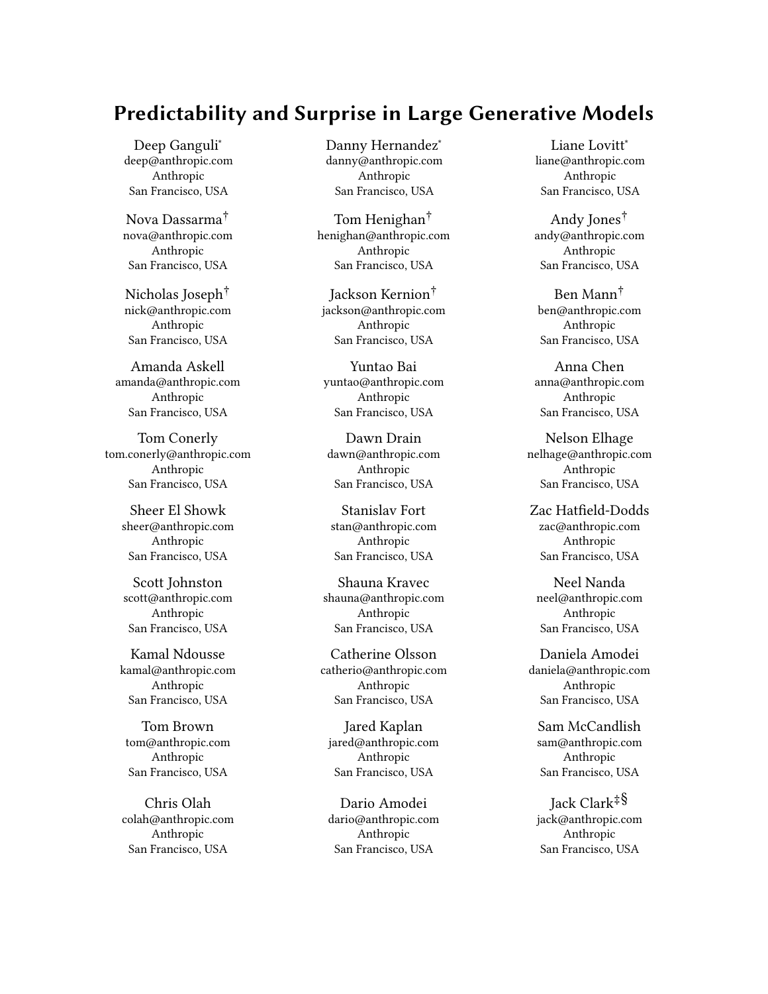Barnes. 2020. Closing the AI accountability gap: defining an end-to-end framework for internal algorithmic auditing. In Proceedings of the 2020 Conference on Fairness, Accountability, and Transparency (FAT\* '20). Association for Computing Machinery, New York, NY, USA, 33–44.<https://doi.org/10.1145/3351095.3372873>

- [67] Jonathan S. Rosenfeld, Amir Rosenfeld, Yonatan Belinkov, and Nir Shavit. 2019. A Constructive Prediction of the Generalization Error Across Scales. arXiv:1909.12673 [cs, stat] (Dec. 2019).<http://arxiv.org/abs/1909.12673> arXiv: 1909.12673.
- [68] Cynthia Rudin, Caroline Wang, and Beau Coker. 2020. The Age of Secrecy and Unfairness in Recidivism Prediction. Harvard Data Science Review 2, 1 (March 2020).<https://doi.org/10.1162/99608f92.6ed64b30>
- [69] Victor Sanh, Albert Webson, Colin Raffel, Stephen H. Bach, Lintang Sutawika, Zaid Alyafeai, Antoine Chaffin, Arnaud Stiegler, Teven Le Scao, Arun Raja, Manan Dey, M. Saiful Bari, Canwen Xu, Urmish Thakker, Shanya Sharma Sharma, Eliza Szczechla, Taewoon Kim, Gunjan Chhablani, Nihal Nayak, Debajyoti Datta, Jonathan Chang, Mike Tian-Jian Jiang, Han Wang, Matteo Manica, Sheng Shen, Zheng Xin Yong, Harshit Pandey, Rachel Bawden, Thomas Wang, Trishala Neeraj, Jos Rozen, Abheesht Sharma, Andrea Santilli, Thibault Fevry, Jason Alan Fries, Ryan Teehan, Stella Biderman, Leo Gao, Tali Bers, Thomas Wolf, and Alexander M. Rush. 2021. Multitask Prompted Training Enables Zero-Shot Task Generalization. arXiv:2110.08207 [cs] (Dec. 2021).<http://arxiv.org/abs/2110.08207> arXiv: 2110.08207.
- [70] Roy Schwartz, Jesse Dodge, Noah A. Smith, and Oren Etzioni. 2020. Green AI. Commun. ACM 63, 12 (Nov. 2020), 54–63.<https://doi.org/10.1145/3381831>
- [71] Jaime Sevilla, Pablo Villalobos, Juan Felipe Cerón, Matthew Burtell, Lennart Heim, Amogh B Nanjajjar, Anson Ho, Tamay Besiroglu, Marius Hobbhahn, and Jean-Stanislas Denain. 2021. Parameter, Compute and Data Trends in Machine Learning. https://docs.google.com/spreadsheets/d/1AAIebiNsnJi\_uKALHbXNfn3 [YsT6sHXtCU0q7OIPuc4/](https://docs.google.com/spreadsheets/d/1AAIebjNsnJj_uKALHbXNfn3_YsT6sHXtCU0q7OIPuc4/)
- [72] Tom Simonite. 2021. What Really Happened When Google Ousted Timnit Gebru. Wired (June 2021). [https://www.wired.com/story/google-timnit-gebru-ai-what](https://www.wired.com/story/google-timnit-gebru-ai-what-really-happened/)[really-happened/](https://www.wired.com/story/google-timnit-gebru-ai-what-really-happened/) Section: tags.
- [73] Shaden Smith, Mostofa Patwary, Brandon Norick, Patrick LeGresley, Samyam Rajbhandari, Jared Casper, Zhun Liu, Shrimai Prabhumoye, George Zerveas, Vijay Korthikanti, Elton Zhang, Rewon Child, Reza Yazdani Aminabadi, Julie Bernauer, Xia Song, Mohammad Shoeybi, Yuxiong He, Michael Houston, Saurabh Tiwary, and Bryan Catanzaro. 2022. Using DeepSpeed and Megatron to Train Megatron-Turing NLG 530B, A Large-Scale Generative Language Model. arXiv:2201.11990 [cs] (Feb. 2022).<http://arxiv.org/abs/2201.11990> arXiv: 2201.11990.
- [74] Irene Solaiman and Christy Dennison. 2021. Process for Adapting Language Models to Society (PALMS) with Values-Targeted Datasets. arXiv:2106.10328 [cs] (Nov. 2021).<http://arxiv.org/abs/2106.10328> arXiv: 2106.10328.
- [75] Emma Strubell, Ananya Ganesh, and Andrew McCallum. 2019. Energy and Policy Considerations for Deep Learning in NLP. arXiv:1906.02243 [cs] (June 2019).<http://arxiv.org/abs/1906.02243> arXiv: 1906.02243.
- [76] Alex Tamkin, Miles Brundage, Jack Clark, and Deep Ganguli. 2021. Understanding the Capabilities, Limitations, and Societal Impact of Large Language Models. arXiv:2102.02503 [cs] (Feb. 2021).<http://arxiv.org/abs/2102.02503> arXiv: 2102.02503.
- [77] Latitude Team. 2020. AI Dungeon: Dragon Model Upgrade. [https://aidungeon.](https://aidungeon.medium.com/ai-dungeon-dragon-model-upgrade-7e8ea579abfe) [medium.com/ai-dungeon-dragon-model-upgrade-7e8ea579abfe](https://aidungeon.medium.com/ai-dungeon-dragon-model-upgrade-7e8ea579abfe)
- [78] Will Thomas. 2020. Flagship Neutrino Project Working to Keep Costs Within Cap. [https://www.aip.org/fyi/2020/flagship-neutrino-project-working-keep](https://www.aip.org/fyi/2020/flagship-neutrino-project-working-keep-costs-within-cap)[costs-within-cap](https://www.aip.org/fyi/2020/flagship-neutrino-project-working-keep-costs-within-cap) Publisher: American Institute of Physics.
- [79] Romal Thoppilan, Daniel De Freitas, Jamie Hall, Noam Shazeer, Apoorv Kulshreshtha, Heng-Tze Cheng, Alicia Jin, Taylor Bos, Leslie Baker, Yu Du, YaGuang Li, Hongrae Lee, Huaixiu Steven Zheng, Amin Ghafouri, Marcelo Menegali, Yanping Huang, Maxim Krikun, Dmitry Lepikhin, James Qin, Dehao Chen, Yuanzhong Xu, Zhifeng Chen, Adam Roberts, Maarten Bosma, Yanqi Zhou, Chung-Ching Chang, Igor Krivokon, Will Rusch, Marc Pickett, Kathleen Meier-Hellstern, Meredith Ringel Morris, Tulsee Doshi, Renelito Delos Santos, Toju Duke, Johnny Soraker, Ben Zevenbergen, Vinodkumar Prabhakaran, Mark Diaz, Ben Hutchinson, Kristen Olson, Alejandra Molina, Erin Hoffman-John, Josh Lee, Lora Aroyo, Ravi Rajakumar, Alena Butryna, Matthew Lamm, Viktoriya Kuzmina, Joe Fenton, Aaron Cohen, Rachel Bernstein, Ray Kurzweil, Blaise Aguera-Arcas, Claire Cui, Marian Croak, Ed Chi, and Quoc Le. 2022. LaMDA: Language Models for Dialog Applications. arXiv:2201.08239 [cs] (Jan. 2022). <http://arxiv.org/abs/2201.08239> arXiv: 2201.08239.
- [80] Ted Underwood. 2021. Science fiction hasn't prepared us to imagine machine learning. [https://tedunderwood.com/2021/02/02/why-sf-hasnt-prepared-us-to](https://tedunderwood.com/2021/02/02/why-sf-hasnt-prepared-us-to-imagine-machine-learning/)[imagine-machine-learning/](https://tedunderwood.com/2021/02/02/why-sf-hasnt-prepared-us-to-imagine-machine-learning/)
- [81] Ben Wang and Aran Komatsuzaki. 2021. GPT-J-6B: A 6 Billion Parameter Autoregressive Language Model.<https://github.com/kingoflolz/mesh-transformer-jax>
- [82] Shuohuan Wang, Yu Sun, Yang Xiang, Zhihua Wu, Siyu Ding, Weibao Gong, Shikun Feng, Junyuan Shang, Yanbin Zhao, Chao Pang, Jiaxiang Liu, Xuyi Chen, Yuxiang Lu, Weixin Liu, Xi Wang, Yangfan Bai, Qiuliang Chen, Li Zhao, Shiyong Li, Peng Sun, Dianhai Yu, Yanjun Ma, Hao Tian, Hua Wu, Tian Wu, Wei Zeng, Ge Li, Wen Gao, and Haifeng Wang. 2021. ERNIE 3.0 Titan: Exploring

Larger-scale Knowledge Enhanced Pre-training for Language Understanding and Generation. arXiv:2112.12731 [cs] (Dec. 2021).<http://arxiv.org/abs/2112.12731> arXiv: 2112.12731.

- [83] Jason Wei, Maarten Bosma, Vincent Y. Zhao, Kelvin Guu, Adams Wei Yu, Brian Lester, Nan Du, Andrew M. Dai, and Quoc V. Le. 2021. Finetuned Language Models Are Zero-Shot Learners. arXiv:2109.01652 [cs] (Dec. 2021). [http://arxiv.](http://arxiv.org/abs/2109.01652) [org/abs/2109.01652](http://arxiv.org/abs/2109.01652) arXiv: 2109.01652.
- [84] Laura Weidinger, John Mellor, Maribeth Rauh, Conor Griffin, Jonathan Uesato, Po-Sen Huang, Myra Cheng, Mia Glaese, Borja Balle, Atoosa Kasirzadeh, Zac Kenton, Sasha Brown, Will Hawkins, Tom Stepleton, Courtney Biles, Abeba Birhane, Julia Haas, Laura Rimell, Lisa Anne Hendricks, William Isaac, Sean Legassick, Geoffrey Irving, and Iason Gabriel. 2021. Ethical and social risks of harm from Language Models. arXiv:2112.04359 [cs] (Dec. 2021).<http://arxiv.org/abs/2112.04359> arXiv: 2112.04359.
- [85] Johannes Welbl, Amelia Glaese, Jonathan Uesato, Sumanth Dathathri, John Mellor, Lisa Anne Hendricks, Kirsty Anderson, Pushmeet Kohli, Ben Coppin, and Po-Sen Huang. 2021. Challenges in Detoxifying Language Models. In Findings of the Association for Computational Linguistics: EMNLP 2021. Association for Computational Linguistics, Punta Cana, Dominican Republic, 2447–2469. [https:](https://doi.org/10.18653/v1/2021.findings-emnlp.210) [//doi.org/10.18653/v1/2021.findings-emnlp.210](https://doi.org/10.18653/v1/2021.findings-emnlp.210)
- [86] Jess Whittlestone and Jack Clark. 2021. Why and How Governments Should Monitor AI Development. arXiv:2108.12427 [cs] (Aug. 2021). [http://arxiv.org/](http://arxiv.org/abs/2108.12427) [abs/2108.12427](http://arxiv.org/abs/2108.12427) arXiv: 2108.12427.
- [87] M. J. Wolf, K. W. Miller, and F. S. Grodzinsky. 2017. Why We Should Have Seen That Coming: Comments on Microsoft's Tay "Experiment," and Wider Implications. The ORBIT Journal 1, 2 (Jan. 2017), 1–12. [https://doi.org/10.29297/](https://doi.org/10.29297/orbit.v1i2.49) [orbit.v1i2.49](https://doi.org/10.29297/orbit.v1i2.49)
- [88] Shaohua Wu, Xudong Zhao, Tong Yu, Rongguo Zhang, Chong Shen, Hongli Liu, Feng Li, Hong Zhu, Jiangang Luo, Liang Xu, and Xuanwei Zhang. 2021. Yuan 1.0: Large-Scale Pre-trained Language Model in Zero-Shot and Few-Shot Learning. arXiv:2110.04725 [cs] (Oct. 2021).<http://arxiv.org/abs/2110.04725> arXiv: 2110.04725.
- [89] Jing Xu, Da Ju, Margaret Li, Y.-Lan Boureau, Jason Weston, and Emily Dinan. 2021. Bot-Adversarial Dialogue for Safe Conversational Agents. In Proceedings of the 2021 Conference of the North American Chapter of the Association for Computational Linguistics: Human Language Technologies, NAACL-HLT 2021, Online, June 6-11, 2021, Kristina Toutanova, Anna Rumshisky, Luke Zettlemoyer, Dilek Hakkani-Tür, Iz Beltagy, Steven Bethard, Ryan Cotterell, Tanmoy Chakraborty, and Yichao Zhou (Eds.). Association for Computational Linguistics, 2950–2968. [https://doi.](https://doi.org/10.18653/v1/2021.naacl-main.235) [org/10.18653/v1/2021.naacl-main.235](https://doi.org/10.18653/v1/2021.naacl-main.235)
- [90] Wei Zeng, Xiaozhe Ren, Teng Su, Hui Wang, Yi Liao, Zhiwei Wang, Xin Jiang, ZhenZhang Yang, Kaisheng Wang, Xiaoda Zhang, Chen Li, Ziyan Gong, Yifan Yao, Xinjing Huang, Jun Wang, Jianfeng Yu, Qi Guo, Yue Yu, Yan Zhang, Jin Wang, Hengtao Tao, Dasen Yan, Zexuan Yi, Fang Peng, Fangqing Jiang, Han Zhang, Lingfeng Deng, Yehong Zhang, Zhe Lin, Chao Zhang, Shaojie Zhang, Mingyue Guo, Shanzhi Gu, Gaojun Fan, Yaowei Wang, Xuefeng Jin, Qun Liu, and Yonghong Tian. 2021. PanGu-\$\alpha\$: Large-scale Autoregressive Pretrained Chinese Language Models with Auto-parallel Computation. arXiv:2104.12369 [cs] (April 2021).<http://arxiv.org/abs/2104.12369> arXiv: 2104.12369.
- [91] Donglin Zhuang, Xingyao Zhang, Shuaiwen Leon Song, and Sara Hooker. 2021. Randomness In Neural Network Training: Characterizing The Impact of Tooling. arXiv:2106.11872 [cs] (June 2021).<http://arxiv.org/abs/2106.11872> arXiv: 2106.11872.

# A APPENDIX

#### A.1 Author Contribution Statement

Jack Clark, Deep Ganguli, and Dario Amodei wrote the paper, with helpful comments from everyone at Anthropic.

Jack Clark conceptualized the first drafts of the paper, and constructed the main arguments in Sections 3, and 4

Deep Ganguli performed all experiments and analyses in Sections 2, created the figures, and helped frame and tighten the main arguments in the paper.

Dario Amodei gave detailed feedback throughout the project and provided guidance on the overall framing of the paper and experiments.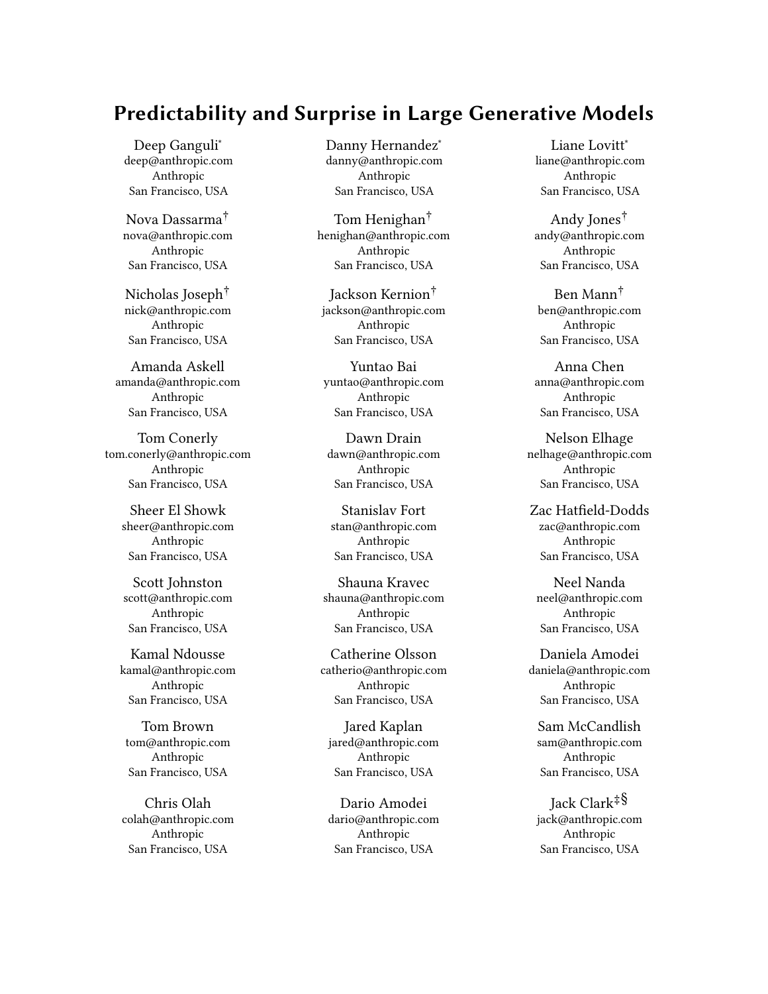Christopher Olah gave initial feedback on early drafts of the paper and contributed numerous insights relating to how capabilities can emerge abruptly at different scales.

Liane Lovitt suggested ways to frame the paper to better communicate insights to policymakers.

Danny Hernandez carried out analysis of compute usage of academia versus industry.

Dawn Drain provided an analysis of how AI developers may use scaling laws.

Jared Kaplan helped with initial conceptualization of the project, wrote the infrastructure used to carry out the experiments, advised Deep Ganguli throughout the project, and made comments on the paper.

Neel Nanda, Liane Lovitt, Danny Hernandez, Zac Hatfield-Dodds, and Daniela Amodei made extensive comments to the paper.

Amanda Askell provided feedback on the COMPAS experiment, and the broader arguments being made in the paper.

Led by Tom Brown in collaboration with Sam McCandlish, much of the technical staff at Anthropic contributed to efficient distributed model training and sampling, the underlying ML, and cluster stability. Contributors include Nicholas Joseph, Tom Henighan, and Andy Jones. Nelson Elhage, Kamal Ndousse, Zac Hatfield-Dodds. Ben Mann also contributed to this infrastructure and built the human feedback interface. Jackson Kernion managed the crowd workers and maintained the infrastructure.

Sam McCandlish led model pretraining efforts, often in collaboration with Jared Kaplan.

Tom Henighan managed our research cluster, helped build our distributed training system. He also helped with ML research on large language models. Nova DasSarma has also helped manage the cluster.

Andy Jones was central in building our sampling infrastructure. He also provided engineering support to Deep Ganguli for all experiments.

### A.2 How Developers Use Scaling Laws

Developers may use scaling laws in a variety of ways, some of which we outline here.

- (1) To empirically estimate the compute-efficient frontier the lowest possible test loss one can achieve within a fixed compute budget. This can help developers forecast the theoretical costs of training large models and allocate resources accordingly.
- (2) To infer whether simple increases in scale may have the potential to unlock capabilities that do not work at smaller

scale. This helps developers forecast progress in AI and to tackle more ambitious problems.

- (3) To quantitatively test whether enhancements other than scaling (e.g., hyper-parameter tuning, novel architecture design, etc.) actually matter as models increase in scale. If these nonscale based changes do not give improvements at scale, then developers can allocate developer time to pursuing scale relative to other alternatives.
- (4) To debug model training. If a bigger model does not perform better than a smaller model, then developers know to prioritize looking for possible bugs inherent only to models of sufficient scale. Some commonly encountered bugs that become increasingly pernicious with scale involve numerical precision issues, data quality issues, over-fitting issues, and hardware related issues.
- (5) To evaluate the performance of models on a common scale. Often, different researchers publish results for models of different sizes. A researcher can use scaling laws to infer how much of the differences in model accuracy are merely due to scale, and also how differently sized models compare to one's own models after accounting for scale. For instance, an improved approach might be comparable to a 10% model size increase. Knowing this information gives two separate options for pursuing such a model improvement.

#### A.3 Recommendation System Experiment

To illustrate how smooth general capability scaling (discussed in Section 2.1) may correlate with task performance and forecast economic value, we perform a small original experiment where we analyze the relationship between scale and capabilities for GPT-3 like language models [4] to be used as recommendation systems with zero-shot learning. We choose a recommendation system example because these systems have tangible economic relevance and societal impact.

Figure 8 shows that language models smoothly decrease in the standard Root Mean Square Error (RMSE, lower is better) metric on the widely used Movielens 1M movie recommendation system task [34] as they increase in size. The smallest model achieves a significantly better RMSE (1.06) than chance (RMSE <sup>1</sup>.91), and the largest model achieves a significantly lower RMSE (0.94) than a strong baseline model (RMSE <sup>0</sup>.98, see below for further details). Although no models achieve state of the art (SOTA) performance (RMSE <sup>0</sup>.82), these results are still surprising because the language models (in our zero-shot setting) see two orders of magnitude less training data than the SOTA model.

Trends like those in Figure 8 forecast how much it would likely cost to develop a state-of-the-art capability on an economically valuable task. In this particular case, we get an incredulous result - at 800T parameters, a language model will achieve state of the art performance with zero-shot learning. This number indicates that it is unlikely language models will be used as commercially deployed recommendation systems in this manner for several years (and that even then it might not be worth its costs). $23$  But the results of a different experiment (e.g. a fine-tuned language model trained explicitly to solve this task), could have justified expenditure

<sup>&</sup>lt;sup>23</sup>Of course, algorithmic improvement that shifts the scaling laws is still possible.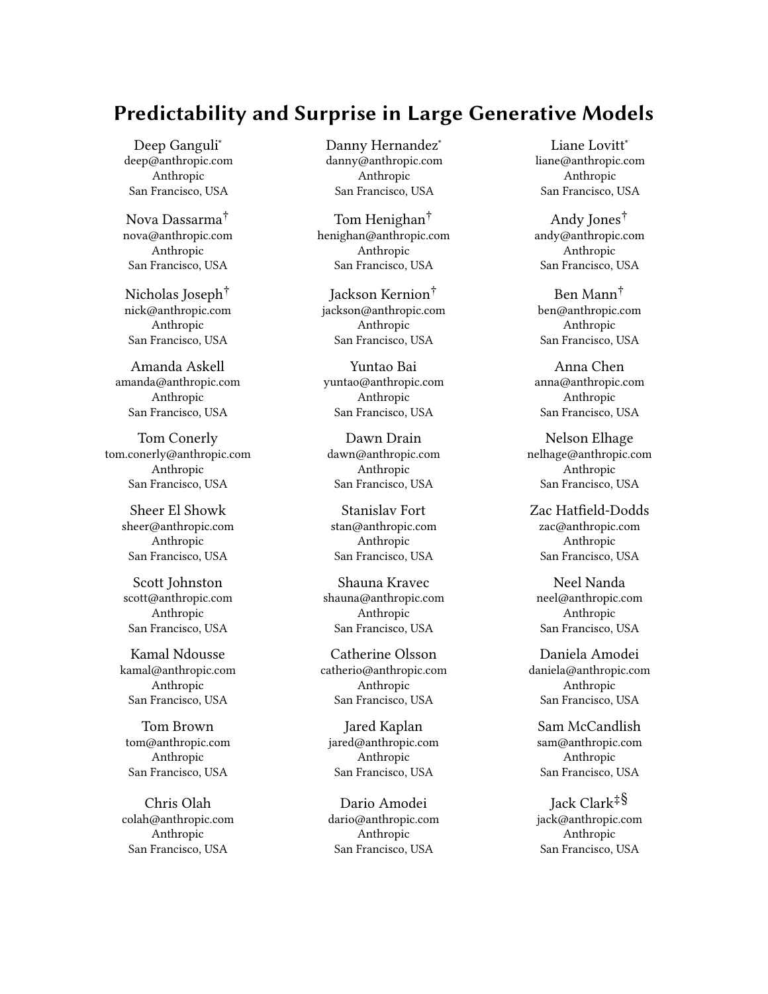

Figure 8 Language models can perform as zero-shot recommendation systems with increasing scale. This demonstrates how general capability scaling can correlate with an economically valuable task as described in Section 2.1.

rather than advising against it. As such, scaling laws can de-risk investment without saying anything about the detailed behavior of the model in specific cases.

More specific technical details are as follows. To perform this experiment, we chose the Movielens 1M (1 million ratings) dataset [34] both because of its widespread use, the fact that it contains demographic information about users (age, occupation, gender, zip code), and because we have observed language models to have considerable knowledge about movies (presumably due to a preponderance of text on the internet about movies).

The dataset consists of 4K movies rated by 6K users on a scale of 1-5. On average, each user has rated 160 movies, which means 96% of the data are missing. The goal of a recommendation system is to predict these missing values, which anticipate how a user will rate a movie they have not previously rated before.

To evaluate performance on this task, we take the standard approach of partitioning the data into a train and test set, using 1% of the total dataset (10K ratings) as our test set. Performance on this task is typically reported as the root mean squared error (RMSE) between the predicted and actual ratings on the test set. Perfect predictions would yield an RMSE of 0 and random guessing corresponds to an RMSE of <sup>1</sup>.91. A strong baseline model simply assigns the average rating (averaged across all users) in the train set as the predicted ratings for all movies in the test set. This essentially ranks movies by their overall popularity, independent of any personalization. The strong baseline achieves an RMSE of <sup>0</sup>.98. State of the art performance on this dataset, is currently an RMSE of <sup>0</sup>.<sup>822</sup> according to  $[32]$ .<sup>24</sup>

In general, state of the art algorithms rely on matrix completion (also known as matrix factorization) algorithms, which simply try to impute the missing values in the user-by-movie matrix by expressing this matrix as the outer product of a small number of low dimensional latent vectors, which are learned from the training data, in order to explicitly minimize the RMSE between predicted and actual ratings. Algorithms with lower RMSEs are typically parameterized by neural network models.

It's unclear how to use language models as matrix factorizers. Instead, we employ similar zero-shot learning approach with the following prompt:

A {age} {gender} who is employed as an {occupation} and previously rated {movies\_ratings\_from\_train\_set}, will rate {movie\_from\_test\_set} a

We replace the variables in curly braces with their corresponding values from the training set (for the first 4 variables) and test set (for the last variable). We then compute the probability that the language model will predict the next token in the sequence as a 1, 2, 3, 4, or a 5. Finally, we compute the weighted mean of the ratings, where the weights are equal to the probabilities (which are normalized to sum to 1) the language model assigns to those ratings as the final rating prediction.

We use zero-shot learning because the variable:

movies\_and\_ratings\_from\_training\_set, can often correspond to a very long sequence of text, since on average users have rated

200 movies. Because our models have a fundamental limit on how large input text sequences can be, as determined by the context window length, we randomly sample up to 500 previously rated movies per user, in order to stay within the limits. An alternative strategy is to use few-shot learning, where multiple users are provided as examples in the prompt, but only show a small number (e.g. 5) previously rated movies per user. Empirically, we found that our zero-shot approach (one user, but a lot of previously rated movies by that user) led to far lower RMSE than all of our few-shot learning experiments.

There is a movie recommendation task for language models in the BigBench framework based on a Movielens benchmark.25 However, this task is formulated specifically for a language model, in the form of a multiple choice task as opposed to a regression or matrix completion task. Our formulation of this task allows us to directly compare general purpose language models to special purpose systems on the same axis in order to assess a more realistic use-case. Finally, we note that we can extend the analysis we do here to other economically valuable real-world tasks such as those in the recent Real-World Few-Shot Text-Classification (RAFT) benchmark [1].

#### A.4 COMPAS Experiment Details

We use the same dataset, filtering operations, and metrics used for the ProPublica analysis of COMPAS [3] (taken directly from the Ipython Notebook on GitHub).<sup>26</sup> We use the same prompt as [23] (which was designed for a human recidivism prediction experiment) for the language model:

The defendant is a {sex} aged {age}. They have been charged with {c\_charge\_desc}. This crime is classified as a {c\_charge\_degree}. They have been convicted of {priors\_count} prior crimes. They have {juv\_fel\_count} juvenile felony charges and {juv\_misd\_count} juvenile misdemeanor charges on their record.

Do you think this person will commit another crime within 2 years?

We replace the variables in curly braces with values for each defendant in the dataset. Following [23] we also consider a prompt

 $^{24}{\rm https://paperswithcode.com/sota/collaborative-filtering-on-moving lens-1m}$ 

 $^{25}{\rm https://github.com/google/BIG-bench/blob/main/bigbench/benchmark_tasks/}$  $^{25}{\rm https://github.com/google/BIG-bench/blob/main/bigbench/benchmark_tasks/}$  $^{25}{\rm https://github.com/google/BIG-bench/blob/main/bigbench/benchmark_tasks/}$ [movie\\_recommendation/README.md](https://github.com/google/BIG-bench/blob/main/bigbench/benchmark_tasks/movie_recommendation/README.md)

<sup>26</sup>https://github.com/propublica/compas-analysis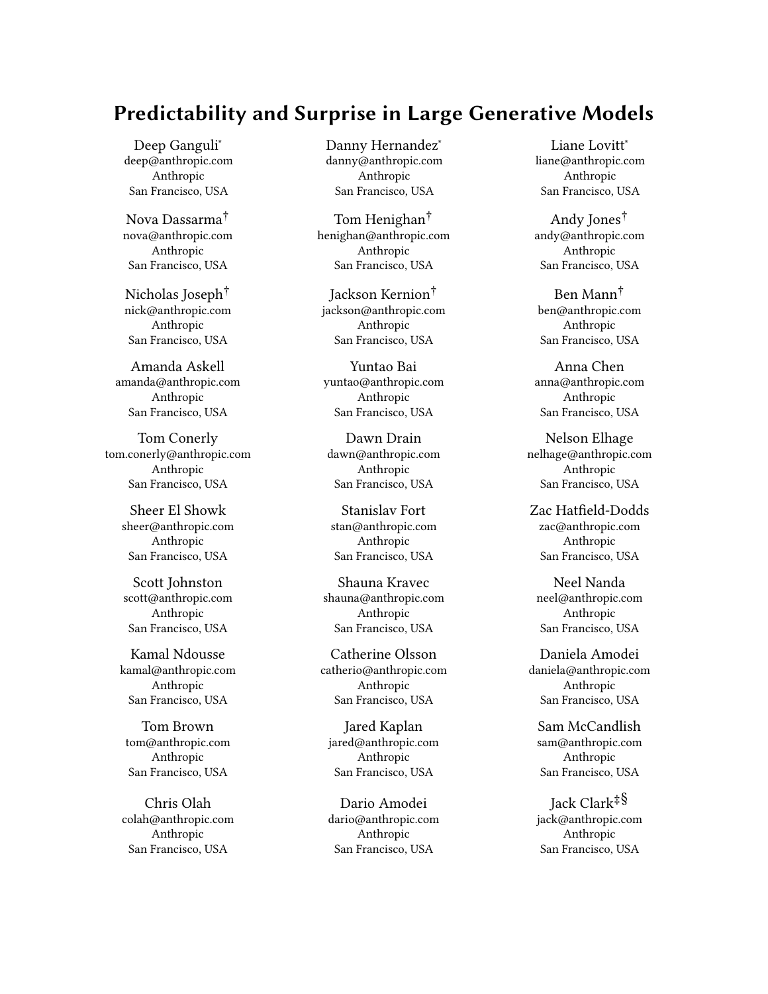Predictability and Surprise in Large Generative Models **FACCT** 22, June 21–24, 2022, Seoul, Republic of Korea



Figure 9 Predictive accuracy ratio for Black versus white defendants. A value of <sup>1</sup> is fair. COMPAS achieves a value of <sup>0</sup>.97. The language models show no clear trend in this ratio, regardless of when race is excluded in the prompt (blue) or included (orange). However, the largest language models are slightly less equitable than COM-PAS according to this metric.

in which race is included, by changing the first sentence in the above prompt to be: The defendant is a {race} {sex} aged {age}. We rely on few-shot learning [12], in which we provide the language model with 50 labeled examples taken at random from the training dataset (less than 1% of the data) before querying the models on each independent test prompt.

Next, given the prompt above, we compute the probability that the next token in the prompt is a Yes and a No. We normalize these two probabilities to sum to 1. We then directly compare the probability of a Yes response to the ground-truth label as to whether or not the defendant in question actually re-offended, in addition to the analogous prediction provided by COMPAS. We use the Fairlearn Python package $^{27}$  to compute all metrics reported in the main text.

In addition to the metrics reported in the main text, we also examined the predictive accuracy ratio for Black versus white defendants as in [3, 23]. We saw no clear trends with model size (Figure 9) regardless of whether race was excluded from the prompt (blue) or included (orange). Though the largest language models are slightly less fair than COMPAS according to this metric.

Our analysis suffers from several important caveats. First, it is well known that there are many more fairness metrics than the two we consider here, and that it's statistically impossible for a single algorithm to achieve parity on all these metrics e.g., [27]. Second, benchmark risk assessment instrument datasets often contain numerous measurement biases and errors which can make them ill-suited for making claims about real-world impact without carefully considering the the complicated socio-technical systems (in this case, the US criminal justice system) in which they are used [7]. Finally, comparisons to proprietary algorithms will always be difficult to make precise without either significant reverse engineering or pressure from companies to lead to more transparent algorithms [68].

# A.5 Open Ended Outputs and Creative Expression

Capabilities may emerge in areas that are challenging to evaluate quantitatively, and therefore likely to resist systematic analysis. A key example is the case of AI models mimicking human creative expression. As a concrete example, we provide<sup>28</sup> a sample of over three thousand imitation poems generated randomly from a large language model (more accurately, these are samples generated from a prompt including several modern and contemporary poems, so a small fraction of the samples are not actually poems). We cannot provide any official evaluation, but informally we find both the quality of some of the texts, and the imitation of specific authorial styles quite impressive. Some professional writers who are aware of the growing capabilities of large language models are very impressed [42], but also alarmed by their far-reaching implications. Academics outside of engineering departments are also starting to consider the pros and cons of machine creativity [80].

#### A.6 Toxicity Experiment Details

We follow a similar analysis outlined in [4] where we leverage the RealToxicityPrompts [30] dataset to elicit short comments in response to real world samples of text (prompts) obtained from the internet. Following [30], we label the prompts as 'toxic' if they have a toxicity score > <sup>0</sup>.5, otherwise we label them 'non-toxic'. We then obtain a random sample of 1K of these prompts, with an equal proportion of 'toxic' and 'non-toxic'. Next, we we sample 25 model responses from language models of various sizes [4] per prompt. We use the same prompts per language model.

We then measure the toxicity of the model responses with an open-source toxicity detector [33] that outputs a score, between 0 and 1, with a higher score corresponding to more toxic content. Next, we fit a linear regression model, where we predict the toxicity score based on a categorical coding of model size, and a binary indicator as to whether the prompt was labeled as toxic or non-toxic. We plot the estimated coefficients on model size (thus controlling for the toxicity of the prompt) and the 95% confidence intervals around them in the main text.

Our analysis is subject to several caveats. First, it's unclear how the magnitude of the effect size in Figure 5 influences human perception of the toxicity of the generated text. Different people often have different perceptions about text with the same toxicity score [85]. Second, automated toxicity detection algorithms are known to suffer from several limitations, for example, they can be biased for certain minority groups [30, 85]. Finally, our reliance on an open-source toxicity detector [33] is counter to the more common use of the Perspective API for toxicity detection (though we believe these toxicity detectors to be similar [4]).

# A.7 AI and Compute Analysis Details

We leverage data from existing work on estimating compute usage for training large-scale AI models [2] which was recently complemented with additional data from more recent experiments [71]. In this augmented dataset, we label training runs as Industry or Academic based primarily on affiliations of first authors. If a first author

<sup>27</sup>https://github.com/fairlearn/fairlearn

 $^{28}\mathrm{https://gist.github.com/jareddk/6512393d4a996fbf3a72be265a5285aa}$